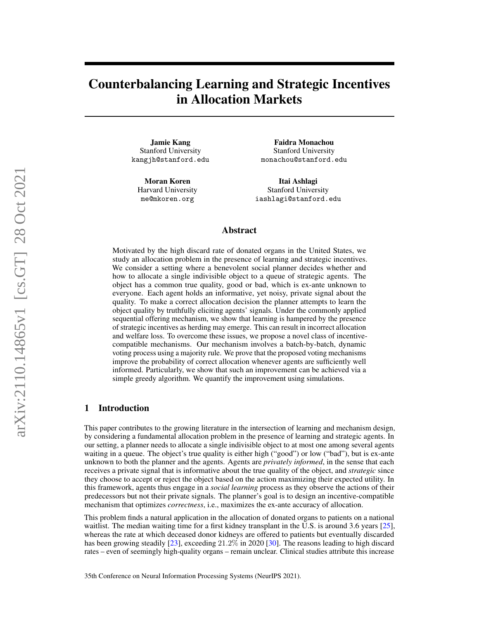# Counterbalancing Learning and Strategic Incentives in Allocation Markets

Jamie Kang Stanford University kangjh@stanford.edu

Moran Koren Harvard University me@mkoren.org

Faidra Monachou Stanford University monachou@stanford.edu

Itai Ashlagi Stanford University iashlagi@stanford.edu

## Abstract

Motivated by the high discard rate of donated organs in the United States, we study an allocation problem in the presence of learning and strategic incentives. We consider a setting where a benevolent social planner decides whether and how to allocate a single indivisible object to a queue of strategic agents. The object has a common true quality, good or bad, which is ex-ante unknown to everyone. Each agent holds an informative, yet noisy, private signal about the quality. To make a correct allocation decision the planner attempts to learn the object quality by truthfully eliciting agents' signals. Under the commonly applied sequential offering mechanism, we show that learning is hampered by the presence of strategic incentives as herding may emerge. This can result in incorrect allocation and welfare loss. To overcome these issues, we propose a novel class of incentivecompatible mechanisms. Our mechanism involves a batch-by-batch, dynamic voting process using a majority rule. We prove that the proposed voting mechanisms improve the probability of correct allocation whenever agents are sufficiently well informed. Particularly, we show that such an improvement can be achieved via a simple greedy algorithm. We quantify the improvement using simulations.

#### 1 Introduction

This paper contributes to the growing literature in the intersection of learning and mechanism design, by considering a fundamental allocation problem in the presence of learning and strategic agents. In our setting, a planner needs to allocate a single indivisible object to at most one among several agents waiting in a queue. The object's true quality is either high ("good") or low ("bad"), but is ex-ante unknown to both the planner and the agents. Agents are *privately informed*, in the sense that each receives a private signal that is informative about the true quality of the object, and *strategic* since they choose to accept or reject the object based on the action maximizing their expected utility. In this framework, agents thus engage in a *social learning* process as they observe the actions of their predecessors but not their private signals. The planner's goal is to design an incentive-compatible mechanism that optimizes *correctness*, i.e., maximizes the ex-ante accuracy of allocation.

This problem finds a natural application in the allocation of donated organs to patients on a national waitlist. The median waiting time for a first kidney transplant in the U.S. is around 3.6 years [\[25\]](#page-11-0), whereas the rate at which deceased donor kidneys are offered to patients but eventually discarded has been growing steadily [\[23\]](#page-11-1), exceeding  $21.2\%$  in 2020 [\[30\]](#page-11-2). The reasons leading to high discard rates – even of seemingly high-quality organs – remain unclear. Clinical studies attribute this increase

35th Conference on Neural Information Processing Systems (NeurIPS 2021).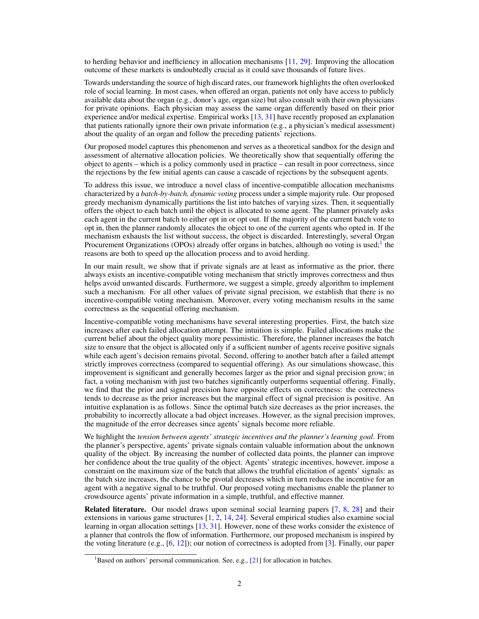to herding behavior and inefficiency in allocation mechanisms [\[11,](#page-10-0) [29\]](#page-11-3). Improving the allocation outcome of these markets is undoubtedly crucial as it could save thousands of future lives.

Towards understanding the source of high discard rates, our framework highlights the often overlooked role of social learning. In most cases, when offered an organ, patients not only have access to publicly available data about the organ (e.g., donor's age, organ size) but also consult with their own physicians for private opinions. Each physician may assess the same organ differently based on their prior experience and/or medical expertise. Empirical works [\[13,](#page-10-1) [31\]](#page-11-4) have recently proposed an explanation that patients rationally ignore their own private information (e.g., a physician's medical assessment) about the quality of an organ and follow the preceding patients' rejections.

Our proposed model captures this phenomenon and serves as a theoretical sandbox for the design and assessment of alternative allocation policies. We theoretically show that sequentially offering the object to agents – which is a policy commonly used in practice – can result in poor correctness, since the rejections by the few initial agents can cause a cascade of rejections by the subsequent agents.

To address this issue, we introduce a novel class of incentive-compatible allocation mechanisms characterized by a *batch-by-batch, dynamic voting* process under a simple majority rule. Our proposed greedy mechanism dynamically partitions the list into batches of varying sizes. Then, it sequentially offers the object to each batch until the object is allocated to some agent. The planner privately asks each agent in the current batch to either opt in or opt out. If the majority of the current batch vote to opt in, then the planner randomly allocates the object to one of the current agents who opted in. If the mechanism exhausts the list without success, the object is discarded. Interestingly, several Organ Procurement Organizations (OPOs) already offer organs in batches, although no voting is used;<sup>[1](#page-1-0)</sup> the reasons are both to speed up the allocation process and to avoid herding.

In our main result, we show that if private signals are at least as informative as the prior, there always exists an incentive-compatible voting mechanism that strictly improves correctness and thus helps avoid unwanted discards. Furthermore, we suggest a simple, greedy algorithm to implement such a mechanism. For all other values of private signal precision, we establish that there is no incentive-compatible voting mechanism. Moreover, every voting mechanism results in the same correctness as the sequential offering mechanism.

Incentive-compatible voting mechanisms have several interesting properties. First, the batch size increases after each failed allocation attempt. The intuition is simple. Failed allocations make the current belief about the object quality more pessimistic. Therefore, the planner increases the batch size to ensure that the object is allocated only if a sufficient number of agents receive positive signals while each agent's decision remains pivotal. Second, offering to another batch after a failed attempt strictly improves correctness (compared to sequential offering). As our simulations showcase, this improvement is significant and generally becomes larger as the prior and signal precision grow; in fact, a voting mechanism with just two batches significantly outperforms sequential offering. Finally, we find that the prior and signal precision have opposite effects on correctness: the correctness tends to decrease as the prior increases but the marginal effect of signal precision is positive. An intuitive explanation is as follows. Since the optimal batch size decreases as the prior increases, the probability to incorrectly allocate a bad object increases. However, as the signal precision improves, the magnitude of the error decreases since agents' signals become more reliable.

We highlight the *tension between agents' strategic incentives and the planner's learning goal*. From the planner's perspective, agents' private signals contain valuable information about the unknown quality of the object. By increasing the number of collected data points, the planner can improve her confidence about the true quality of the object. Agents' strategic incentives, however, impose a constraint on the maximum size of the batch that allows the truthful elicitation of agents' signals: as the batch size increases, the chance to be pivotal decreases which in turn reduces the incentive for an agent with a negative signal to be truthful. Our proposed voting mechanisms enable the planner to crowdsource agents' private information in a simple, truthful, and effective manner.

Related literature. Our model draws upon seminal social learning papers [\[7,](#page-10-2) [8,](#page-10-3) [28\]](#page-11-5) and their extensions in various game structures [\[1,](#page-10-4) [2,](#page-10-5) [14,](#page-10-6) [24\]](#page-11-6). Several empirical studies also examine social learning in organ allocation settings [\[13,](#page-10-1) [31\]](#page-11-4). However, none of these works consider the existence of a planner that controls the flow of information. Furthermore, our proposed mechanism is inspired by the voting literature (e.g.,  $[6, 12]$  $[6, 12]$  $[6, 12]$ ); our notion of correctness is adopted from  $[3]$ . Finally, our paper

<span id="page-1-0"></span><sup>&</sup>lt;sup>1</sup>Based on authors' personal communication. See, e.g.,  $[21]$  for allocation in batches.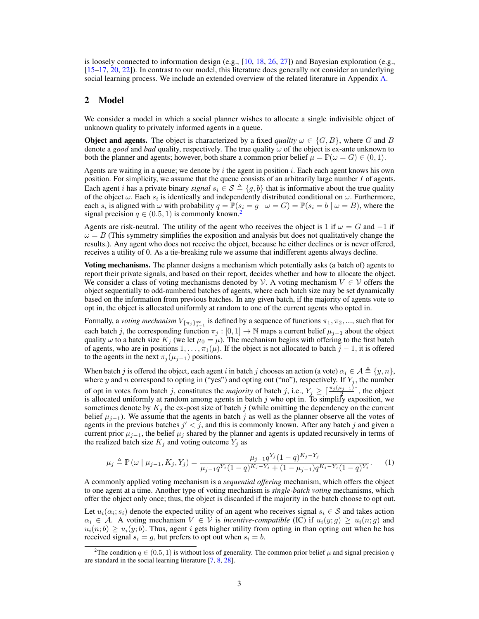is loosely connected to information design (e.g., [\[10,](#page-10-10) [18,](#page-10-11) [26,](#page-11-8) [27\]](#page-11-9)) and Bayesian exploration (e.g., [\[15](#page-10-12)[–17,](#page-10-13) [20,](#page-11-10) [22\]](#page-11-11)). In contrast to our model, this literature does generally not consider an underlying social learning process. We include an extended overview of the related literature in Appendix [A.](#page-12-0)

### 2 Model

We consider a model in which a social planner wishes to allocate a single indivisible object of unknown quality to privately informed agents in a queue.

**Object and agents.** The object is characterized by a fixed *quality*  $\omega \in \{G, B\}$ , where G and B denote a *good* and *bad* quality, respectively. The true quality  $\omega$  of the object is ex-ante unknown to both the planner and agents; however, both share a common prior belief  $\mu = \mathbb{P}(\omega = G) \in (0, 1)$ .

Agents are waiting in a queue; we denote by  $i$  the agent in position  $i$ . Each each agent knows his own position. For simplicity, we assume that the queue consists of an arbitrarily large number I of agents. Each agent *i* has a private binary *signal*  $s_i \in S \triangleq \{g, b\}$  that is informative about the true quality of the object  $\omega$ . Each  $s_i$  is identically and independently distributed conditional on  $\omega$ . Furthermore, each  $s_i$  is aligned with  $\omega$  with probability  $q = \mathbb{P}(s_i = g \mid \omega = G) = \mathbb{P}(s_i = b \mid \omega = B)$ , where the signal precision  $q \in (0.5, 1)$  is commonly known.<sup>[2](#page-2-0)</sup>

Agents are risk-neutral. The utility of the agent who receives the object is 1 if  $\omega = G$  and  $-1$  if  $\omega = B$  (This symmetry simplifies the exposition and analysis but does not qualitatively change the results.). Any agent who does not receive the object, because he either declines or is never offered, receives a utility of 0. As a tie-breaking rule we assume that indifferent agents always decline.

Voting mechanisms. The planner designs a mechanism which potentially asks (a batch of) agents to report their private signals, and based on their report, decides whether and how to allocate the object. We consider a class of voting mechanisms denoted by V. A voting mechanism  $V \in V$  offers the object sequentially to odd-numbered batches of agents, where each batch size may be set dynamically based on the information from previous batches. In any given batch, if the majority of agents vote to opt in, the object is allocated uniformly at random to one of the current agents who opted in.

Formally, a *voting mechanism*  $V_{\{\pi_j\}_{j=1}^\infty}$  is defined by a sequence of functions  $\pi_1, \pi_2, ...,$  such that for each batch j, the corresponding function  $\pi_j : [0, 1] \to \mathbb{N}$  maps a current belief  $\mu_{j-1}$  about the object quality  $\omega$  to a batch size  $K_j$  (we let  $\mu_0 = \mu$ ). The mechanism begins with offering to the first batch of agents, who are in positions  $1, \ldots, \pi_1(\mu)$ . If the object is not allocated to batch  $j - 1$ , it is offered to the agents in the next  $\pi_j(\mu_{j-1})$  positions.

When batch j is offered the object, each agent i in batch j chooses an action (a vote)  $\alpha_i \in A \triangleq \{y, n\},$ where y and n correspond to opting in ("yes") and opting out ("no"), respectively. If  $Y_j$ , the number of opt in votes from batch j, constitutes the *majority* of batch j, i.e.,  $Y_j \geq \lceil \frac{\pi_j(\mu_{j-1})}{r^2} \rceil$ , the object is allocated uniformly at random among agents in batch  $j$  who opt in. To simplify exposition, we sometimes denote by  $K_j$  the ex-post size of batch j (while omitting the dependency on the current belief  $\mu_{j-1}$ ). We assume that the agents in batch j as well as the planner observe all the votes of agents in the previous batches  $j' < j$ , and this is commonly known. After any batch j and given a current prior  $\mu_{j-1}$ , the belief  $\mu_j$  shared by the planner and agents is updated recursively in terms of the realized batch size  $K_j$  and voting outcome  $Y_j$  as

<span id="page-2-1"></span>
$$
\mu_j \triangleq \mathbb{P}\left(\omega \mid \mu_{j-1}, K_j, Y_j\right) = \frac{\mu_{j-1} q^{Y_j} (1-q)^{K_j - Y_j}}{\mu_{j-1} q^{Y_j} (1-q)^{K_j - Y_j} + (1-\mu_{j-1}) q^{K_j - Y_j} (1-q)^{Y_j}}.
$$
 (1)

A commonly applied voting mechanism is a *sequential offering* mechanism, which offers the object to one agent at a time. Another type of voting mechanism is *single-batch voting* mechanisms, which offer the object only once; thus, the object is discarded if the majority in the batch choose to opt out.

Let  $u_i(\alpha_i; s_i)$  denote the expected utility of an agent who receives signal  $s_i \in S$  and takes action  $\alpha_i \in A$ . A voting mechanism  $V \in V$  is *incentive-compatible* (IC) if  $u_i(y; g) \geq u_i(n; g)$  and  $u_i(n; b) \geq u_i(y; b)$ . Thus, agent i gets higher utility from opting in than opting out when he has received signal  $s_i = g$ , but prefers to opt out when  $s_i = b$ .

<span id="page-2-0"></span><sup>&</sup>lt;sup>2</sup>The condition  $q \in (0.5, 1)$  is without loss of generality. The common prior belief  $\mu$  and signal precision q are standard in the social learning literature [\[7,](#page-10-2) [8,](#page-10-3) [28\]](#page-11-5).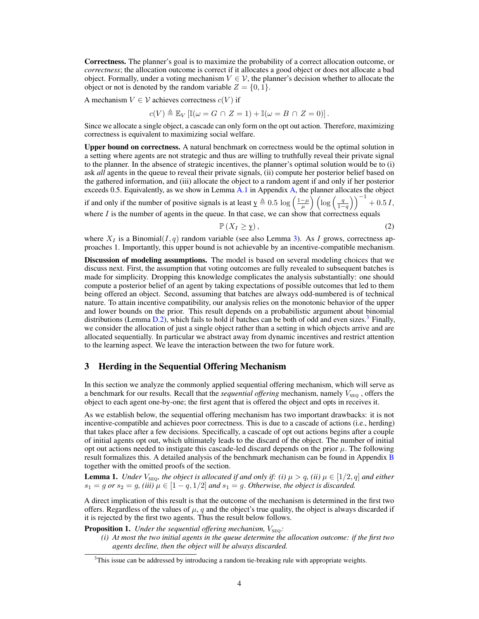Correctness. The planner's goal is to maximize the probability of a correct allocation outcome, or *correctness*; the allocation outcome is correct if it allocates a good object or does not allocate a bad object. Formally, under a voting mechanism  $V \in \mathcal{V}$ , the planner's decision whether to allocate the object or not is denoted by the random variable  $Z = \{0, 1\}$ .

A mechanism  $V \in V$  achieves correctness  $c(V)$  if

 $c(V) \triangleq \mathbb{E}_V [\mathbb{I}(\omega = G \cap Z = 1) + \mathbb{I}(\omega = B \cap Z = 0)].$ 

Since we allocate a single object, a cascade can only form on the opt out action. Therefore, maximizing correctness is equivalent to maximizing social welfare.

Upper bound on correctness. A natural benchmark on correctness would be the optimal solution in a setting where agents are not strategic and thus are willing to truthfully reveal their private signal to the planner. In the absence of strategic incentives, the planner's optimal solution would be to (i) ask *all* agents in the queue to reveal their private signals, (ii) compute her posterior belief based on the gathered information, and (iii) allocate the object to a random agent if and only if her posterior exceeds 0.5. Equivalently, as we show in Lemma  $A.1$  in Appendix  $A$ , the planner allocates the object if and only if the number of positive signals is at least  $y \triangleq 0.5 \log \left( \frac{1-\mu}{\mu} \right) \left( \log \left( \frac{q}{1-q} \right) \right)^{-1} + 0.5 I$ ,

where  $I$  is the number of agents in the queue. In that case, we can show that correctness equals

<span id="page-3-1"></span>
$$
\mathbb{P}\left(X_{I} \geq \mathbf{y}\right),\tag{2}
$$

where  $X_I$  is a Binomial $(I, q)$  random variable (see also Lemma [3\)](#page-6-0). As I grows, correctness approaches 1. Importantly, this upper bound is not achievable by an incentive-compatible mechanism.

Discussion of modeling assumptions. The model is based on several modeling choices that we discuss next. First, the assumption that voting outcomes are fully revealed to subsequent batches is made for simplicity. Dropping this knowledge complicates the analysis substantially: one should compute a posterior belief of an agent by taking expectations of possible outcomes that led to them being offered an object. Second, assuming that batches are always odd-numbered is of technical nature. To attain incentive compatibility, our analysis relies on the monotonic behavior of the upper and lower bounds on the prior. This result depends on a probabilistic argument about binomial distributions (Lemma [D.2\)](#page-25-0), which fails to hold if batches can be both of odd and even sizes.<sup>[3](#page-3-0)</sup> Finally, we consider the allocation of just a single object rather than a setting in which objects arrive and are allocated sequentially. In particular we abstract away from dynamic incentives and restrict attention to the learning aspect. We leave the interaction between the two for future work.

## <span id="page-3-3"></span>3 Herding in the Sequential Offering Mechanism

In this section we analyze the commonly applied sequential offering mechanism, which will serve as a benchmark for our results. Recall that the *sequential offering* mechanism, namely  $V_{\rm SFO}$ , offers the object to each agent one-by-one; the first agent that is offered the object and opts in receives it.

As we establish below, the sequential offering mechanism has two important drawbacks: it is not incentive-compatible and achieves poor correctness. This is due to a cascade of actions (i.e., herding) that takes place after a few decisions. Specifically, a cascade of opt out actions begins after a couple of initial agents opt out, which ultimately leads to the discard of the object. The number of initial opt out actions needed to instigate this cascade-led discard depends on the prior  $\mu$ . The following result formalizes this. A detailed analysis of the benchmark mechanism can be found in Appendix [B](#page-13-0) together with the omitted proofs of the section.

<span id="page-3-4"></span>**Lemma 1.** *Under*  $V_{\text{SEQ}}$ *, the object is allocated if and only if: (i)*  $\mu > q$ *, (ii)*  $\mu \in [1/2, q]$  *and either*  $s_1 = g$  or  $s_2 = g$ , (iii)  $\mu \in [1 - q, 1/2]$  and  $s_1 = g$ . Otherwise, the object is discarded.

A direct implication of this result is that the outcome of the mechanism is determined in the first two offers. Regardless of the values of  $\mu$ , q and the object's true quality, the object is always discarded if it is rejected by the first two agents. Thus the result below follows.

<span id="page-3-2"></span>Proposition 1. *Under the sequential offering mechanism*,  $V_{\text{SEQ}}$ :

*(i) At most the two initial agents in the queue determine the allocation outcome: if the first two agents decline, then the object will be always discarded.*

<span id="page-3-0"></span> $3$ This issue can be addressed by introducing a random tie-breaking rule with appropriate weights.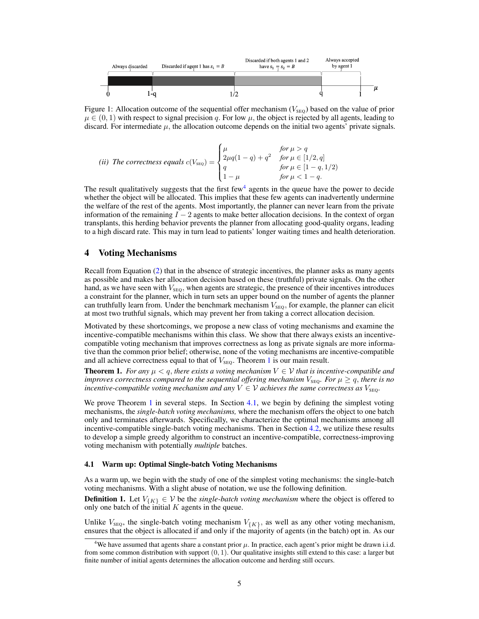

<span id="page-4-3"></span>Figure 1: Allocation outcome of the sequential offer mechanism ( $V_{\text{SEQ}}$ ) based on the value of prior  $\mu \in (0, 1)$  with respect to signal precision q. For low  $\mu$ , the object is rejected by all agents, leading to discard. For intermediate  $\mu$ , the allocation outcome depends on the initial two agents' private signals.

(ii) The correctness equals 
$$
c(V_{\text{SEQ}}) = \begin{cases} \mu & \text{for } \mu > q \\ 2\mu q(1-q) + q^2 & \text{for } \mu \in [1/2, q] \\ q & \text{for } \mu \in [1-q, 1/2) \\ 1 - \mu & \text{for } \mu < 1-q. \end{cases}
$$

The result qualitatively suggests that the first few<sup>[4](#page-4-0)</sup> agents in the queue have the power to decide whether the object will be allocated. This implies that these few agents can inadvertently undermine the welfare of the rest of the agents. Most importantly, the planner can never learn from the private information of the remaining  $I - 2$  agents to make better allocation decisions. In the context of organ transplants, this herding behavior prevents the planner from allocating good-quality organs, leading to a high discard rate. This may in turn lead to patients' longer waiting times and health deterioration.

#### <span id="page-4-4"></span>4 Voting Mechanisms

Recall from Equation [\(2\)](#page-3-1) that in the absence of strategic incentives, the planner asks as many agents as possible and makes her allocation decision based on these (truthful) private signals. On the other hand, as we have seen with  $V_{\text{SEO}}$ , when agents are strategic, the presence of their incentives introduces a constraint for the planner, which in turn sets an upper bound on the number of agents the planner can truthfully learn from. Under the benchmark mechanism  $V_{\text{SEQ}}$ , for example, the planner can elicit at most two truthful signals, which may prevent her from taking a correct allocation decision.

Motivated by these shortcomings, we propose a new class of voting mechanisms and examine the incentive-compatible mechanisms within this class. We show that there always exists an incentivecompatible voting mechanism that improves correctness as long as private signals are more informative than the common prior belief; otherwise, none of the voting mechanisms are incentive-compatible and all achieve correctness equal to that of  $V_{\text{SEQ}}$ . Theorem [1](#page-4-1) is our main result.

<span id="page-4-1"></span>**Theorem 1.** *For any*  $\mu < q$ , *there exists a voting mechanism*  $V \in V$  *that is incentive-compatible and improves correctness compared to the sequential offering mechanism*  $V_{\text{SEO}}$ *. For*  $\mu \geq q$ *, there is no incentive-compatible voting mechanism and any*  $V \in V$  *achieves the same correctness as*  $V_{\text{SFO}}$ .

We prove Theorem [1](#page-4-1) in several steps. In Section [4.1,](#page-4-2) we begin by defining the simplest voting mechanisms, the *single-batch voting mechanisms,* where the mechanism offers the object to one batch only and terminates afterwards. Specifically, we characterize the optimal mechanisms among all incentive-compatible single-batch voting mechanisms. Then in Section [4.2,](#page-6-1) we utilize these results to develop a simple greedy algorithm to construct an incentive-compatible, correctness-improving voting mechanism with potentially *multiple* batches.

#### <span id="page-4-2"></span>4.1 Warm up: Optimal Single-batch Voting Mechanisms

As a warm up, we begin with the study of one of the simplest voting mechanisms: the single-batch voting mechanisms. With a slight abuse of notation, we use the following definition.

**Definition 1.** Let  $V_{\{K\}} \in V$  be the *single-batch voting mechanism* where the object is offered to only one batch of the initial  $K$  agents in the queue.

Unlike  $V_{\text{SEQ}}$ , the single-batch voting mechanism  $V_{\{K\}}$ , as well as any other voting mechanism, ensures that the object is allocated if and only if the majority of agents (in the batch) opt in. As our

<span id="page-4-0"></span><sup>&</sup>lt;sup>4</sup>We have assumed that agents share a constant prior  $\mu$ . In practice, each agent's prior might be drawn i.i.d. from some common distribution with support  $(0, 1)$ . Our qualitative insights still extend to this case: a larger but finite number of initial agents determines the allocation outcome and herding still occurs.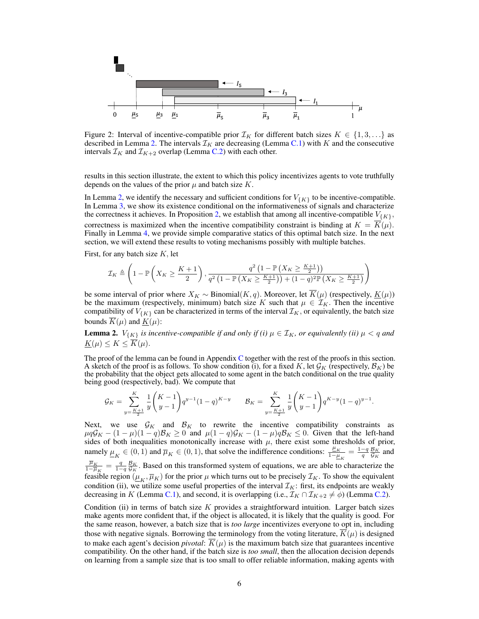

<span id="page-5-1"></span>Figure 2: Interval of incentive-compatible prior  $\mathcal{I}_K$  for different batch sizes  $K \in \{1, 3, \ldots\}$  as described in Lemma [2.](#page-5-0) The intervals  $\mathcal{I}_K$  are decreasing (Lemma [C.1\)](#page-17-0) with K and the consecutive intervals  $\mathcal{I}_K$  and  $\mathcal{I}_{K+2}$  overlap (Lemma [C.2\)](#page-18-0) with each other.

results in this section illustrate, the extent to which this policy incentivizes agents to vote truthfully depends on the values of the prior  $\mu$  and batch size K.

In Lemma [2,](#page-5-0) we identify the necessary and sufficient conditions for  $V_{\{K\}}$  to be incentive-compatible. In Lemma [3,](#page-6-0) we show its existence conditional on the informativeness of signals and characterize the correctness it achieves. In Proposition [2,](#page-6-2) we establish that among all incentive-compatible  $V_{\{K\}}$ , correctness is maximized when the incentive compatibility constraint is binding at  $K = \overline{K}(\mu)$ . Finally in Lemma [4,](#page-6-3) we provide simple comparative statics of this optimal batch size. In the next section, we will extend these results to voting mechanisms possibly with multiple batches.

First, for any batch size  $K$ , let

$$
\mathcal{I}_K \triangleq \left(1 - \mathbb{P}\left(X_K \geq \frac{K+1}{2}\right), \frac{q^2\left(1 - \mathbb{P}\left(X_K \geq \frac{K+1}{2}\right)\right)}{q^2\left(1 - \mathbb{P}\left(X_K \geq \frac{K+1}{2}\right)\right) + (1-q)^2 \mathbb{P}\left(X_K \geq \frac{K+1}{2}\right)}\right)
$$

be some interval of prior where  $X_K \sim \text{Binomial}(K, q)$ . Moreover, let  $\overline{K}(\mu)$  (respectively,  $\underline{K}(\mu)$ ) be the maximum (respectively, minimum) batch size K such that  $\mu \in \mathcal{I}_K$ . Then the incentive compatibility of  $V_{\{K\}}$  can be characterized in terms of the interval  $\mathcal{I}_K$ , or equivalently, the batch size bounds  $\overline{K}(\mu)$  and  $K(\mu)$ :

<span id="page-5-0"></span>**Lemma 2.**  $V_{\{K\}}$  *is incentive-compatible if and only if (i)*  $\mu \in \mathcal{I}_K$ *, or equivalently (ii)*  $\mu < q$  *and*  $\underline{K}(\mu) \leq K \leq \overline{K}(\mu).$ 

The proof of the lemma can be found in Appendix [C](#page-16-0) together with the rest of the proofs in this section. A sketch of the proof is as follows. To show condition (i), for a fixed K, let  $\mathcal{G}_K$  (respectively,  $\mathcal{B}_K$ ) be the probability that the object gets allocated to some agent in the batch conditional on the true quality being good (respectively, bad). We compute that

$$
\mathcal{G}_K = \sum_{y=\frac{K+1}{2}}^K \frac{1}{y} {K-1 \choose y-1} q^{y-1} (1-q)^{K-y} \qquad \mathcal{B}_K = \sum_{y=\frac{K+1}{2}}^K \frac{1}{y} {K-1 \choose y-1} q^{K-y} (1-q)^{y-1}.
$$

Next, we use  $\mathcal{G}_K$  and  $\mathcal{B}_K$  to rewrite the incentive compatibility constraints as  $\mu q \mathcal{G}_K - (1 - \mu)(1 - q)\mathcal{B}_K \ge 0$  and  $\mu (1 - q)\mathcal{G}_K - (1 - \mu)q\mathcal{B}_K \le 0$ . Given that the left-hand sides of both inequalities monotonically increase with  $\mu$ , there exist some thresholds of prior, namely  $\underline{\mu}_K \in (0,1)$  and  $\overline{\mu}_K \in (0,1)$ , that solve the indifference conditions:  $\frac{\mu_K}{1-\mu_K} = \frac{1-q}{q} \frac{B_K}{G_K}$  and  $\overline{\mu}_K$  $\frac{\overline{\mu}_K}{1-\overline{\mu}_K} = \frac{q}{1-q} \frac{\mathcal{B}_K}{\mathcal{G}_K}$ . Based on this transformed system of equations, we are able to characterize the feasible region  $(\mu_K, \overline{\mu}_K)$  for the prior  $\mu$  which turns out to be precisely  $\mathcal{I}_K$ . To show the equivalent condition (ii), we utilize some useful properties of the interval  $\mathcal{I}_K$ : first, its endpoints are weakly decreasing in K (Lemma [C.1\)](#page-17-0), and second, it is overlapping (i.e.,  $\mathcal{I}_K \cap \mathcal{I}_{K+2} \neq \emptyset$ ) (Lemma [C.2\)](#page-18-0).

Condition (ii) in terms of batch size  $K$  provides a straightforward intuition. Larger batch sizes make agents more confident that, if the object is allocated, it is likely that the quality is good. For the same reason, however, a batch size that is *too large* incentivizes everyone to opt in, including those with negative signals. Borrowing the terminology from the voting literature,  $\overline{K}(\mu)$  is designed to make each agent's decision *pivotal*:  $\overline{K}(\mu)$  is the maximum batch size that guarantees incentive compatibility. On the other hand, if the batch size is *too small*, then the allocation decision depends on learning from a sample size that is too small to offer reliable information, making agents with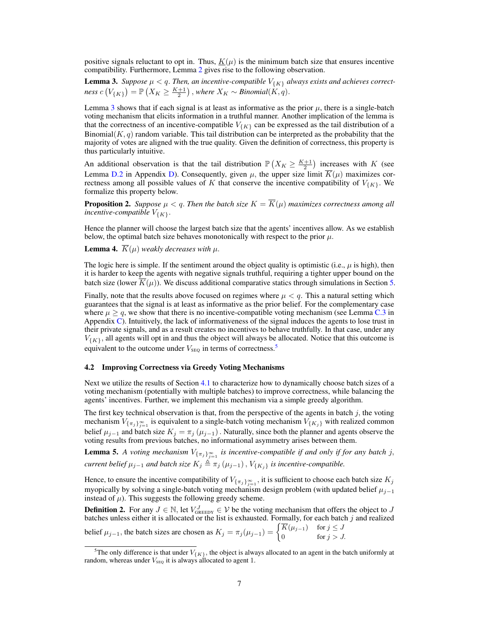positive signals reluctant to opt in. Thus,  $K(\mu)$  is the minimum batch size that ensures incentive compatibility. Furthermore, Lemma [2](#page-5-0) gives rise to the following observation.

<span id="page-6-0"></span>**Lemma 3.** Suppose  $\mu < q$ . Then, an incentive-compatible  $V_{\{K\}}$  always exists and achieves correct $ness\ c\left(V_{\{K\}}\right) = \mathbb{P}\left(X_K \geq \frac{K+1}{2}\right), where\ X_K \sim Binomial(K, q).$ 

Lemma [3](#page-6-0) shows that if each signal is at least as informative as the prior  $\mu$ , there is a single-batch voting mechanism that elicits information in a truthful manner. Another implication of the lemma is that the correctness of an incentive-compatible  $V_{\{K\}}$  can be expressed as the tail distribution of a Binomial $(K, q)$  random variable. This tail distribution can be interpreted as the probability that the majority of votes are aligned with the true quality. Given the definition of correctness, this property is thus particularly intuitive.

An additional observation is that the tail distribution  $\mathbb{P}(X_K \geq \frac{K+1}{2})$  increases with K (see Lemma [D.2](#page-25-0) in Appendix [D\)](#page-24-0). Consequently, given  $\mu$ , the upper size limit  $K(\mu)$  maximizes correctness among all possible values of K that conserve the incentive compatibility of  $V_{\{K\}}$ . We formalize this property below.

<span id="page-6-2"></span>**Proposition 2.** *Suppose*  $\mu < q$ . Then the batch size  $K = \overline{K}(\mu)$  maximizes correctness among all *incentive-compatible*  $V_{\{K\}}$ .

Hence the planner will choose the largest batch size that the agents' incentives allow. As we establish below, the optimal batch size behaves monotonically with respect to the prior  $\mu$ .

<span id="page-6-3"></span>**Lemma 4.**  $\overline{K}(\mu)$  *weakly decreases with*  $\mu$ .

The logic here is simple. If the sentiment around the object quality is optimistic (i.e.,  $\mu$  is high), then it is harder to keep the agents with negative signals truthful, requiring a tighter upper bound on the batch size (lower  $K(\mu)$ ). We discuss additional comparative statics through simulations in Section [5.](#page-7-0)

Finally, note that the results above focused on regimes where  $\mu < q$ . This a natural setting which guarantees that the signal is at least as informative as the prior belief. For the complementary case where  $\mu \ge q$ , we show that there is no incentive-compatible voting mechanism (see Lemma [C.3](#page-19-0) in Appendix [C\)](#page-16-0). Intuitively, the lack of informativeness of the signal induces the agents to lose trust in their private signals, and as a result creates no incentives to behave truthfully. In that case, under any  $V_{K}$ , all agents will opt in and thus the object will always be allocated. Notice that this outcome is equivalent to the outcome under  $V_{\text{SEQ}}$  in terms of correctness.<sup>[5](#page-6-4)</sup>

#### <span id="page-6-1"></span>4.2 Improving Correctness via Greedy Voting Mechanisms

Next we utilize the results of Section [4.1](#page-4-2) to characterize how to dynamically choose batch sizes of a voting mechanism (potentially with multiple batches) to improve correctness, while balancing the agents' incentives. Further, we implement this mechanism via a simple greedy algorithm.

The first key technical observation is that, from the perspective of the agents in batch  $j$ , the voting mechanism  $V_{\{\pi_j\}_{j=1}^\infty}$  is equivalent to a single-batch voting mechanism  $V_{\{K_j\}}$  with realized common belief  $\mu_{j-1}$  and batch size  $K_j = \pi_j(\mu_{j-1})$ . Naturally, since both the planner and agents observe the voting results from previous batches, no informational asymmetry arises between them.

<span id="page-6-5"></span>**Lemma 5.** A voting mechanism  $V_{\{\pi_j\}_{j=1}^\infty}$  is incentive-compatible if and only if for any batch j, *current belief*  $\mu_{j-1}$  *and batch size*  $K_j \triangleq \pi_j(\mu_{j-1}), V_{\{K_j\}}$  *is incentive-compatible.* 

Hence, to ensure the incentive compatibility of  $V_{\{\pi_j\}_{j=1}^\infty}$ , it is sufficient to choose each batch size  $K_j$ myopically by solving a single-batch voting mechanism design problem (with updated belief  $\mu_{j-1}$ instead of  $\mu$ ). This suggests the following greedy scheme.

**Definition 2.** For any  $J \in \mathbb{N}$ , let  $V_{\text{GREDY}}^J \in \mathcal{V}$  be the voting mechanism that offers the object to J batches unless either it is allocated or the list is exhausted. Formally, for each batch  $j$  and realized

belief 
$$
\mu_{j-1}
$$
, the batch sizes are chosen as  $K_j = \pi_j(\mu_{j-1}) = \begin{cases} \overline{K}(\mu_{j-1}) & \text{for } j \le J \\ 0 & \text{for } j > J. \end{cases}$ 

<span id="page-6-4"></span><sup>&</sup>lt;sup>5</sup>The only difference is that under  $V_{\{K\}}$ , the object is always allocated to an agent in the batch uniformly at random, whereas under  $V_{\text{SEQ}}$  it is always allocated to agent 1.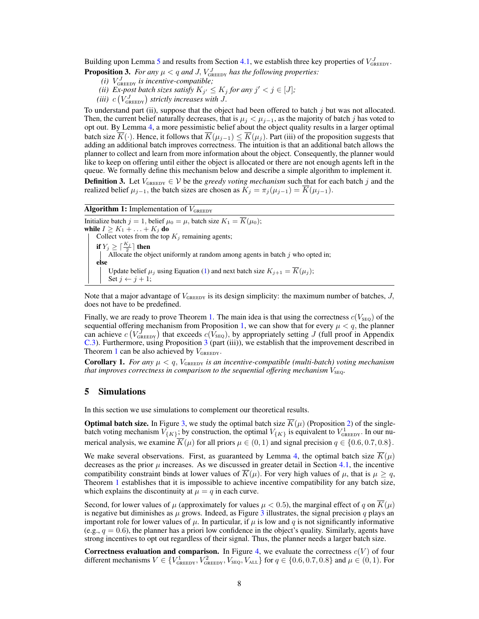Building upon Lemma [5](#page-6-5) and results from Section [4.1,](#page-4-2) we establish three key properties of  $V_{\text{GREDY}}^J$ .

<span id="page-7-1"></span>**Proposition 3.** For any  $\mu < q$  and J,  $V_{\text{GREEDY}}^J$  has the following properties:

- $(i)$   $V_{\text{GREEDY}}^J$  *is incentive-compatible;*
- (*ii*) *Ex-post batch sizes satisfy*  $K_{j'} \leq K_j$  *for any*  $j' < j \in [J]$ ;
- (*iii*)  $c(V_{\text{GREEDY}}^J)$  strictly increases with J.

To understand part (ii), suppose that the object had been offered to batch  $j$  but was not allocated. Then, the current belief naturally decreases, that is  $\mu_j < \mu_{j-1}$ , as the majority of batch j has voted to opt out. By Lemma [4,](#page-6-3) a more pessimistic belief about the object quality results in a larger optimal batch size  $\overline{K}(\cdot)$ . Hence, it follows that  $\overline{K}(\mu_{j-1}) \leq \overline{K}(\mu_j)$ . Part (iii) of the proposition suggests that adding an additional batch improves correctness. The intuition is that an additional batch allows the planner to collect and learn from more information about the object. Consequently, the planner would like to keep on offering until either the object is allocated or there are not enough agents left in the queue. We formally define this mechanism below and describe a simple algorithm to implement it.

**Definition 3.** Let  $V_{\text{GREEDY}} \in \mathcal{V}$  be the *greedy voting mechanism* such that for each batch j and the realized belief  $\mu_{j-1}$ , the batch sizes are chosen as  $K_j = \pi_j(\mu_{j-1}) = \overline{K}(\mu_{j-1}).$ 

#### **Algorithm 1:** Implementation of  $V_{\text{GREEDY}}$

Initialize batch  $j = 1$ , belief  $\mu_0 = \mu$ , batch size  $K_1 = \overline{K}(\mu_0)$ ; while  $I \geq K_1 + \ldots + K_j$  do Collect votes from the top  $K_j$  remaining agents; if  $Y_j \ge \lceil \frac{K_j}{2} \rceil$  then Allocate the object uniformly at random among agents in batch j who opted in; else Update belief  $\mu_j$  using Equation [\(1\)](#page-2-1) and next batch size  $K_{j+1} = \overline{K}(\mu_j)$ ; Set  $j \leftarrow j + 1$ ;

<span id="page-7-2"></span>Note that a major advantage of  $V_{\text{GREEDY}}$  is its design simplicity: the maximum number of batches, J, does not have to be predefined.

Finally, we are ready to prove Theorem [1.](#page-4-1) The main idea is that using the correctness  $c(V_{\text{SEQ}})$  of the sequential offering mechanism from Proposition [1,](#page-3-2) we can show that for every  $\mu < q$ , the planner can achieve  $c(V_{\text{GEEDY}}^J)$  that exceeds  $c(V_{\text{SEQ}})$ , by appropriately setting J (full proof in Appendix [C.3\)](#page-20-0). Furthermore, using Proposition [3](#page-7-1) (part (iii)), we establish that the improvement described in Theorem [1](#page-4-1) can be also achieved by  $V_{\text{GREEDY}}$ .

**Corollary 1.** *For any*  $\mu < q$ ,  $V_{\text{GREEDY}}$  *is an incentive-compatible (multi-batch) voting mechanism that improves correctness in comparison to the sequential offering mechanism*  $V_{\text{SEO}}$ .

#### <span id="page-7-0"></span>5 Simulations

In this section we use simulations to complement our theoretical results.

**Optimal batch size.** In Figure [3,](#page-8-0) we study the optimal batch size  $\overline{K}(\mu)$  (Proposition [2\)](#page-6-2) of the singlebatch voting mechanism  $V_{K}$ ; by construction, the optimal  $V_{K}$  is equivalent to  $V_{\text{GREEDY}}^1$ . In our numerical analysis, we examine  $\overline{K}(\mu)$  for all priors  $\mu \in (0,1)$  and signal precision  $q \in \{0.6, 0.7, 0.8\}$ .

We make several observations. First, as guaranteed by Lemma [4,](#page-6-3) the optimal batch size  $\overline{K}(\mu)$ decreases as the prior  $\mu$  increases. As we discussed in greater detail in Section [4.1,](#page-4-2) the incentive compatibility constraint binds at lower values of  $\overline{K}(\mu)$ . For very high values of  $\mu$ , that is  $\mu \geq q$ , Theorem [1](#page-4-1) establishes that it is impossible to achieve incentive compatibility for any batch size, which explains the discontinuity at  $\mu = q$  in each curve.

Second, for lower values of  $\mu$  (approximately for values  $\mu < 0.5$ ), the marginal effect of q on  $K(\mu)$ is negative but diminishes as  $\mu$  grows. Indeed, as Figure [3](#page-8-0) illustrates, the signal precision q plays an important role for lower values of  $\mu$ . In particular, if  $\mu$  is low and q is not significantly informative (e.g.,  $q = 0.6$ ), the planner has a priori low confidence in the object's quality. Similarly, agents have strong incentives to opt out regardless of their signal. Thus, the planner needs a larger batch size.

Correctness evaluation and comparison. In Figure [4,](#page-8-1) we evaluate the correctness  $c(V)$  of four different mechanisms  $V \in \{V_{\text{GREEDY}}^1, V_{\text{GREEDY}}^2, V_{\text{SEQ}}, V_{\text{ALL}}\}$  for  $q \in \{0.6, 0.7, 0.8\}$  and  $\mu \in (0, 1)$ . For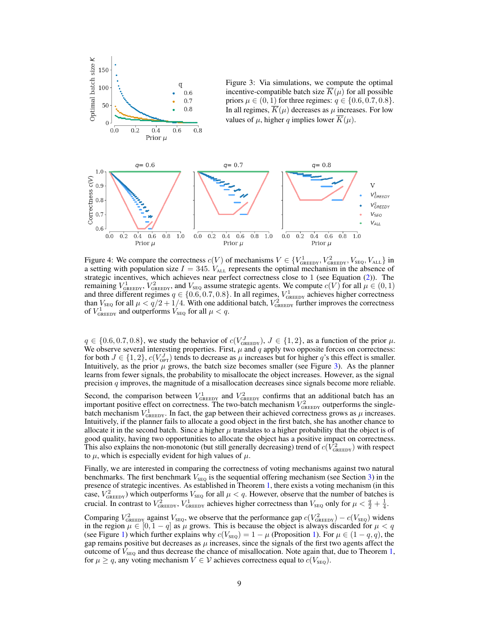<span id="page-8-0"></span>

<span id="page-8-1"></span>Figure 4: We compare the correctness  $c(V)$  of mechanisms  $V \in \{V_{\text{GREEDY}}^1, V_{\text{GREEDY}}^2, V_{\text{SEQ}}^2, V_{\text{ALL}}\}$  in a setting with population size  $I = 345$ .  $V_{ALL}$  represents the optimal mechanism in the absence of strategic incentives, which achieves near perfect correctness close to 1 (see Equation [\(2\)](#page-3-1)). The remaining  $V_{\text{GREEDY}}^1$ ,  $V_{\text{GREEDY}}^2$ , and  $V_{\text{SEQ}}$  assume strategic agents. We compute  $c(V)$  for all  $\mu \in (0,1)$ and three different regimes  $q \in \{0.6, 0.7, 0.8\}$ . In all regimes,  $V_{\text{GREEDY}}^1$  achieves higher correctness than  $V_{\text{SEQ}}$  for all  $\mu < \frac{q}{2} + \frac{1}{4}$ . With one additional batch,  $V_{\text{GREEDY}}^2$  further improves the correctness of  $V_{\text{GREEDY}}^1$  and outperforms  $V_{\text{SEQ}}$  for all  $\mu < q$ .

 $q \in \{0.6, 0.7, 0.8\}$ , we study the behavior of  $c(V_{\text{GREEDY}}^J)$ ,  $J \in \{1, 2\}$ , as a function of the prior  $\mu$ . We observe several interesting properties. First,  $\mu$  and  $q$  apply two opposite forces on correctness: for both  $J \in \{1,2\}$ ,  $c(V_{\text{OPT}}^J)$  tends to decrease as  $\mu$  increases but for higher q's this effect is smaller. Intuitively, as the prior  $\mu$  grows, the batch size becomes smaller (see Figure [3\)](#page-8-0). As the planner learns from fewer signals, the probability to misallocate the object increases. However, as the signal precision  $q$  improves, the magnitude of a misallocation decreases since signals become more reliable.

Second, the comparison between  $V_{\text{GREEDY}}^1$  and  $V_{\text{GREEDY}}^2$  confirms that an additional batch has an important positive effect on correctness. The two-batch mechanism  $V_{\text{GREDY}}^2$  outperforms the singlebatch mechanism  $V_{\text{GEEDY}}^1$ . In fact, the gap between their achieved correctness grows as  $\mu$  increases. Intuitively, if the planner fails to allocate a good object in the first batch, she has another chance to allocate it in the second batch. Since a higher  $\mu$  translates to a higher probability that the object is of good quality, having two opportunities to allocate the object has a positive impact on correctness. This also explains the non-monotonic (but still generally decreasing) trend of  $c(V_{\text{GREDY}}^2)$  with respect to  $\mu$ , which is especially evident for high values of  $\mu$ .

Finally, we are interested in comparing the correctness of voting mechanisms against two natural benchmarks. The first benchmark  $V_{\text{SEQ}}$  is the sequential offering mechanism (see Section [3\)](#page-3-3) in the presence of strategic incentives. As established in Theorem [1,](#page-4-1) there exists a voting mechanism (in this case,  $V_{\text{GREEDY}}^2$ ) which outperforms  $V_{\text{SEQ}}$  for all  $\mu < q$ . However, observe that the number of batches is crucial. In contrast to  $V_{\text{GREEDY}}^2$ ,  $V_{\text{GREEDY}}^1$  achieves higher correctness than  $V_{\text{SEQ}}$  only for  $\mu < \frac{q}{2} + \frac{1}{4}$ .

Comparing  $V_{\text{GREEDY}}^2$  against  $V_{\text{SEQ}}$ , we observe that the performance gap  $c(V_{\text{GREEDY}}^2) - c(V_{\text{SEQ}})$  widens in the region  $\mu \in [0, 1 - q]$  as  $\mu$  grows. This is because the object is always discarded for  $\mu < q$ (see Figure [1\)](#page-3-2) which further explains why  $c(V_{\text{SEQ}}) = 1 - \mu$  (Proposition 1). For  $\mu \in (1 - q, q)$ , the gap remains positive but decreases as  $\mu$  increases, since the signals of the first two agents affect the outcome of  $V_{\rm{SFO}}$  and thus decrease the chance of misallocation. Note again that, due to Theorem [1,](#page-4-1) for  $\mu \ge q$ , any voting mechanism  $V \in \mathcal{V}$  achieves correctness equal to  $c(V_{\text{SEQ}})$ .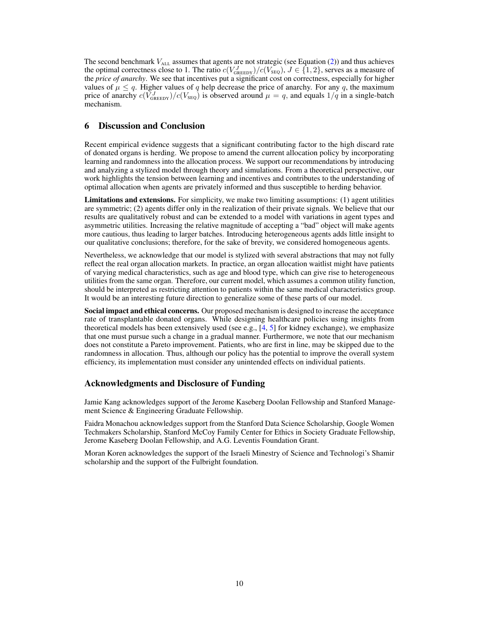The second benchmark  $V_{ALL}$  assumes that agents are not strategic (see Equation [\(2\)](#page-3-1)) and thus achieves the optimal correctness close to 1. The ratio  $c(V_{\text{GREDY}}^J)/c(V_{\text{SEQ}})$ ,  $J \in \{1, 2\}$ , serves as a measure of the *price of anarchy*. We see that incentives put a significant cost on correctness, especially for higher values of  $\mu \leq q$ . Higher values of q help decrease the price of anarchy. For any q, the maximum price of anarchy  $c(\bar{V}_{\text{GREEDY}}^J)/c(V_{\text{SEQ}})$  is observed around  $\mu = q$ , and equals  $1/q$  in a single-batch mechanism.

# 6 Discussion and Conclusion

Recent empirical evidence suggests that a significant contributing factor to the high discard rate of donated organs is herding. We propose to amend the current allocation policy by incorporating learning and randomness into the allocation process. We support our recommendations by introducing and analyzing a stylized model through theory and simulations. From a theoretical perspective, our work highlights the tension between learning and incentives and contributes to the understanding of optimal allocation when agents are privately informed and thus susceptible to herding behavior.

Limitations and extensions. For simplicity, we make two limiting assumptions: (1) agent utilities are symmetric; (2) agents differ only in the realization of their private signals. We believe that our results are qualitatively robust and can be extended to a model with variations in agent types and asymmetric utilities. Increasing the relative magnitude of accepting a "bad" object will make agents more cautious, thus leading to larger batches. Introducing heterogeneous agents adds little insight to our qualitative conclusions; therefore, for the sake of brevity, we considered homogeneous agents.

Nevertheless, we acknowledge that our model is stylized with several abstractions that may not fully reflect the real organ allocation markets. In practice, an organ allocation waitlist might have patients of varying medical characteristics, such as age and blood type, which can give rise to heterogeneous utilities from the same organ. Therefore, our current model, which assumes a common utility function, should be interpreted as restricting attention to patients within the same medical characteristics group. It would be an interesting future direction to generalize some of these parts of our model.

Social impact and ethical concerns. Our proposed mechanism is designed to increase the acceptance rate of transplantable donated organs. While designing healthcare policies using insights from theoretical models has been extensively used (see e.g.,  $[4, 5]$  $[4, 5]$  $[4, 5]$  for kidney exchange), we emphasize that one must pursue such a change in a gradual manner. Furthermore, we note that our mechanism does not constitute a Pareto improvement. Patients, who are first in line, may be skipped due to the randomness in allocation. Thus, although our policy has the potential to improve the overall system efficiency, its implementation must consider any unintended effects on individual patients.

## Acknowledgments and Disclosure of Funding

Jamie Kang acknowledges support of the Jerome Kaseberg Doolan Fellowship and Stanford Management Science & Engineering Graduate Fellowship.

Faidra Monachou acknowledges support from the Stanford Data Science Scholarship, Google Women Techmakers Scholarship, Stanford McCoy Family Center for Ethics in Society Graduate Fellowship, Jerome Kaseberg Doolan Fellowship, and A.G. Leventis Foundation Grant.

Moran Koren acknowledges the support of the Israeli Minestry of Science and Technologi's Shamir scholarship and the support of the Fulbright foundation.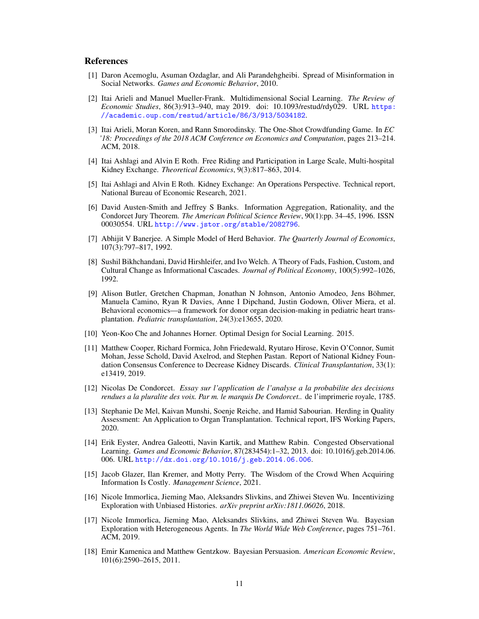#### References

- <span id="page-10-4"></span>[1] Daron Acemoglu, Asuman Ozdaglar, and Ali Parandehgheibi. Spread of Misinformation in Social Networks. *Games and Economic Behavior*, 2010.
- <span id="page-10-5"></span>[2] Itai Arieli and Manuel Mueller-Frank. Multidimensional Social Learning. *The Review of Economic Studies*, 86(3):913–940, may 2019. doi: 10.1093/restud/rdy029. URL [https:](https://academic.oup.com/restud/article/86/3/913/5034182) [//academic.oup.com/restud/article/86/3/913/5034182](https://academic.oup.com/restud/article/86/3/913/5034182).
- <span id="page-10-9"></span>[3] Itai Arieli, Moran Koren, and Rann Smorodinsky. The One-Shot Crowdfunding Game. In *EC '18: Proceedings of the 2018 ACM Conference on Economics and Computation*, pages 213–214. ACM, 2018.
- <span id="page-10-14"></span>[4] Itai Ashlagi and Alvin E Roth. Free Riding and Participation in Large Scale, Multi-hospital Kidney Exchange. *Theoretical Economics*, 9(3):817–863, 2014.
- <span id="page-10-15"></span>[5] Itai Ashlagi and Alvin E Roth. Kidney Exchange: An Operations Perspective. Technical report, National Bureau of Economic Research, 2021.
- <span id="page-10-7"></span>[6] David Austen-Smith and Jeffrey S Banks. Information Aggregation, Rationality, and the Condorcet Jury Theorem. *The American Political Science Review*, 90(1):pp. 34–45, 1996. ISSN 00030554. URL <http://www.jstor.org/stable/2082796>.
- <span id="page-10-2"></span>[7] Abhijit V Banerjee. A Simple Model of Herd Behavior. *The Quarterly Journal of Economics*, 107(3):797–817, 1992.
- <span id="page-10-3"></span>[8] Sushil Bikhchandani, David Hirshleifer, and Ivo Welch. A Theory of Fads, Fashion, Custom, and Cultural Change as Informational Cascades. *Journal of Political Economy*, 100(5):992–1026, 1992.
- <span id="page-10-16"></span>[9] Alison Butler, Gretchen Chapman, Jonathan N Johnson, Antonio Amodeo, Jens Böhmer, Manuela Camino, Ryan R Davies, Anne I Dipchand, Justin Godown, Oliver Miera, et al. Behavioral economics—a framework for donor organ decision-making in pediatric heart transplantation. *Pediatric transplantation*, 24(3):e13655, 2020.
- <span id="page-10-10"></span>[10] Yeon-Koo Che and Johannes Horner. Optimal Design for Social Learning. 2015.
- <span id="page-10-0"></span>[11] Matthew Cooper, Richard Formica, John Friedewald, Ryutaro Hirose, Kevin O'Connor, Sumit Mohan, Jesse Schold, David Axelrod, and Stephen Pastan. Report of National Kidney Foundation Consensus Conference to Decrease Kidney Discards. *Clinical Transplantation*, 33(1): e13419, 2019.
- <span id="page-10-8"></span>[12] Nicolas De Condorcet. *Essay sur l'application de l'analyse a la probabilite des decisions rendues a la pluralite des voix. Par m. le marquis De Condorcet..* de l'imprimerie royale, 1785.
- <span id="page-10-1"></span>[13] Stephanie De Mel, Kaivan Munshi, Soenje Reiche, and Hamid Sabourian. Herding in Quality Assessment: An Application to Organ Transplantation. Technical report, IFS Working Papers, 2020.
- <span id="page-10-6"></span>[14] Erik Eyster, Andrea Galeotti, Navin Kartik, and Matthew Rabin. Congested Observational Learning. *Games and Economic Behavior*, 87(283454):1–32, 2013. doi: 10.1016/j.geb.2014.06. 006. URL <http://dx.doi.org/10.1016/j.geb.2014.06.006>.
- <span id="page-10-12"></span>[15] Jacob Glazer, Ilan Kremer, and Motty Perry. The Wisdom of the Crowd When Acquiring Information Is Costly. *Management Science*, 2021.
- [16] Nicole Immorlica, Jieming Mao, Aleksandrs Slivkins, and Zhiwei Steven Wu. Incentivizing Exploration with Unbiased Histories. *arXiv preprint arXiv:1811.06026*, 2018.
- <span id="page-10-13"></span>[17] Nicole Immorlica, Jieming Mao, Aleksandrs Slivkins, and Zhiwei Steven Wu. Bayesian Exploration with Heterogeneous Agents. In *The World Wide Web Conference*, pages 751–761. ACM, 2019.
- <span id="page-10-11"></span>[18] Emir Kamenica and Matthew Gentzkow. Bayesian Persuasion. *American Economic Review*, 101(6):2590–2615, 2011.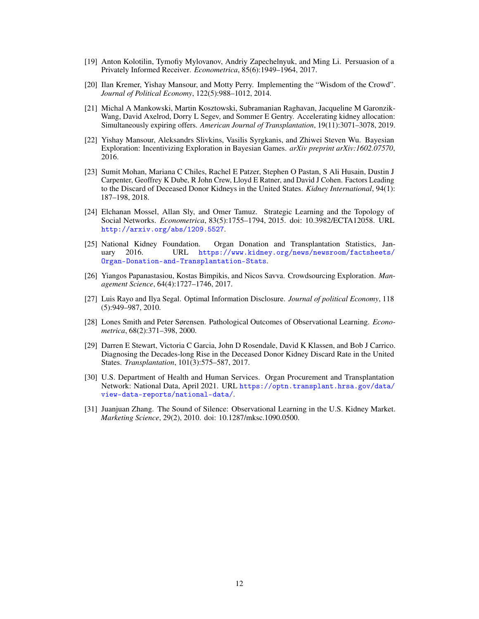- <span id="page-11-12"></span>[19] Anton Kolotilin, Tymofiy Mylovanov, Andriy Zapechelnyuk, and Ming Li. Persuasion of a Privately Informed Receiver. *Econometrica*, 85(6):1949–1964, 2017.
- <span id="page-11-10"></span>[20] Ilan Kremer, Yishay Mansour, and Motty Perry. Implementing the "Wisdom of the Crowd". *Journal of Political Economy*, 122(5):988–1012, 2014.
- <span id="page-11-7"></span>[21] Michal A Mankowski, Martin Kosztowski, Subramanian Raghavan, Jacqueline M Garonzik-Wang, David Axelrod, Dorry L Segev, and Sommer E Gentry. Accelerating kidney allocation: Simultaneously expiring offers. *American Journal of Transplantation*, 19(11):3071–3078, 2019.
- <span id="page-11-11"></span>[22] Yishay Mansour, Aleksandrs Slivkins, Vasilis Syrgkanis, and Zhiwei Steven Wu. Bayesian Exploration: Incentivizing Exploration in Bayesian Games. *arXiv preprint arXiv:1602.07570*, 2016.
- <span id="page-11-1"></span>[23] Sumit Mohan, Mariana C Chiles, Rachel E Patzer, Stephen O Pastan, S Ali Husain, Dustin J Carpenter, Geoffrey K Dube, R John Crew, Lloyd E Ratner, and David J Cohen. Factors Leading to the Discard of Deceased Donor Kidneys in the United States. *Kidney International*, 94(1): 187–198, 2018.
- <span id="page-11-6"></span>[24] Elchanan Mossel, Allan Sly, and Omer Tamuz. Strategic Learning and the Topology of Social Networks. *Econometrica*, 83(5):1755–1794, 2015. doi: 10.3982/ECTA12058. URL <http://arxiv.org/abs/1209.5527>.
- <span id="page-11-0"></span>[25] National Kidney Foundation. Organ Donation and Transplantation Statistics, January 2016. URL [https://www.kidney.org/news/newsroom/factsheets/](https://www.kidney.org/news/newsroom/factsheets/Organ-Donation-and-Transplantation-Stats) [Organ-Donation-and-Transplantation-Stats](https://www.kidney.org/news/newsroom/factsheets/Organ-Donation-and-Transplantation-Stats).
- <span id="page-11-8"></span>[26] Yiangos Papanastasiou, Kostas Bimpikis, and Nicos Savva. Crowdsourcing Exploration. *Management Science*, 64(4):1727–1746, 2017.
- <span id="page-11-9"></span>[27] Luis Rayo and Ilya Segal. Optimal Information Disclosure. *Journal of political Economy*, 118 (5):949–987, 2010.
- <span id="page-11-5"></span>[28] Lones Smith and Peter Sørensen. Pathological Outcomes of Observational Learning. *Econometrica*, 68(2):371–398, 2000.
- <span id="page-11-3"></span>[29] Darren E Stewart, Victoria C Garcia, John D Rosendale, David K Klassen, and Bob J Carrico. Diagnosing the Decades-long Rise in the Deceased Donor Kidney Discard Rate in the United States. *Transplantation*, 101(3):575–587, 2017.
- <span id="page-11-2"></span>[30] U.S. Department of Health and Human Services. Organ Procurement and Transplantation Network: National Data, April 2021. URL [https://optn.transplant.hrsa.gov/data/](https://optn.transplant.hrsa.gov/data/view-data-reports/national-data/) [view-data-reports/national-data/](https://optn.transplant.hrsa.gov/data/view-data-reports/national-data/).
- <span id="page-11-4"></span>[31] Juanjuan Zhang. The Sound of Silence: Observational Learning in the U.S. Kidney Market. *Marketing Science*, 29(2), 2010. doi: 10.1287/mksc.1090.0500.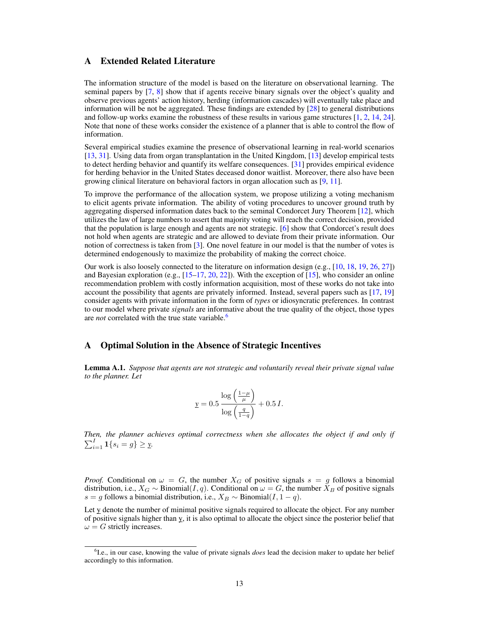# <span id="page-12-0"></span>A Extended Related Literature

The information structure of the model is based on the literature on observational learning. The seminal papers by [\[7,](#page-10-2) [8\]](#page-10-3) show that if agents receive binary signals over the object's quality and observe previous agents' action history, herding (information cascades) will eventually take place and information will be not be aggregated. These findings are extended by  $[28]$  to general distributions and follow-up works examine the robustness of these results in various game structures [\[1,](#page-10-4) [2,](#page-10-5) [14,](#page-10-6) [24\]](#page-11-6). Note that none of these works consider the existence of a planner that is able to control the flow of information.

Several empirical studies examine the presence of observational learning in real-world scenarios [\[13,](#page-10-1) [31\]](#page-11-4). Using data from organ transplantation in the United Kingdom, [\[13\]](#page-10-1) develop empirical tests to detect herding behavior and quantify its welfare consequences. [\[31\]](#page-11-4) provides empirical evidence for herding behavior in the United States deceased donor waitlist. Moreover, there also have been growing clinical literature on behavioral factors in organ allocation such as [\[9,](#page-10-16) [11\]](#page-10-0).

To improve the performance of the allocation system, we propose utilizing a voting mechanism to elicit agents private information. The ability of voting procedures to uncover ground truth by aggregating dispersed information dates back to the seminal Condorcet Jury Theorem [\[12\]](#page-10-8), which utilizes the law of large numbers to assert that majority voting will reach the correct decision, provided that the population is large enough and agents are not strategic. [\[6\]](#page-10-7) show that Condorcet's result does not hold when agents are strategic and are allowed to deviate from their private information. Our notion of correctness is taken from  $\lceil 3 \rceil$ . One novel feature in our model is that the number of votes is determined endogenously to maximize the probability of making the correct choice.

Our work is also loosely connected to the literature on information design (e.g., [\[10,](#page-10-10) [18,](#page-10-11) [19,](#page-11-12) [26,](#page-11-8) [27\]](#page-11-9)) and Bayesian exploration (e.g., [\[15](#page-10-12)[–17,](#page-10-13) [20,](#page-11-10) [22\]](#page-11-11)). With the exception of [\[15\]](#page-10-12), who consider an online recommendation problem with costly information acquisition, most of these works do not take into account the possibility that agents are privately informed. Instead, several papers such as [\[17,](#page-10-13) [19\]](#page-11-12) consider agents with private information in the form of *types* or idiosyncratic preferences. In contrast to our model where private *signals* are informative about the true quality of the object, those types are *not* correlated with the true state variable.<sup>[6](#page-12-2)</sup>

## A Optimal Solution in the Absence of Strategic Incentives

<span id="page-12-1"></span>Lemma A.1. *Suppose that agents are not strategic and voluntarily reveal their private signal value to the planner. Let*

$$
\underline{y} = 0.5 \frac{\log\left(\frac{1-\mu}{\mu}\right)}{\log\left(\frac{q}{1-q}\right)} + 0.5 I.
$$

*Then, the planner achieves optimal correctness when she allocates the object if and only if*  $\sum_{i=1}^{I} \mathbf{1}\{s_i = g\} \geq \mathbf{y}.$ 

*Proof.* Conditional on  $\omega = G$ , the number  $X_G$  of positive signals  $s = g$  follows a binomial distribution, i.e.,  $X_G \sim \text{Binomial}(I, q)$ . Conditional on  $\omega = G$ , the number  $X_B$  of positive signals s = g follows a binomial distribution, i.e.,  $X_B \sim \text{Binomial}(I, 1 - q)$ .

Let y denote the number of minimal positive signals required to allocate the object. For any number of positive signals higher than y, it is also optimal to allocate the object since the posterior belief that  $\omega = G$  strictly increases.

<span id="page-12-2"></span><sup>&</sup>lt;sup>6</sup>I.e., in our case, knowing the value of private signals *does* lead the decision maker to update her belief accordingly to this information.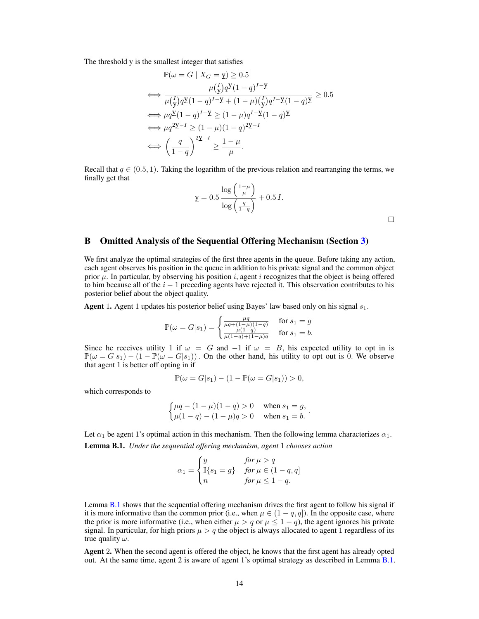The threshold  $y$  is the smallest integer that satisfies

$$
\mathbb{P}(\omega = G \mid X_G = \mathbf{y}) \ge 0.5
$$
\n
$$
\iff \frac{\mu(\mathbf{y}) q \mathbf{y} (1 - q)^{I - \mathbf{y}}}{\mu(\mathbf{y}) q \mathbf{y} (1 - q)^{I - \mathbf{y}} + (1 - \mu)(\mathbf{y}) q^{I - \mathbf{y}} (1 - q) \mathbf{y}} \ge 0.5
$$
\n
$$
\iff \mu q \mathbf{y} (1 - q)^{I - \mathbf{y}} \ge (1 - \mu) q^{I - \mathbf{y}} (1 - q) \mathbf{y}
$$
\n
$$
\iff \mu q^{2\mathbf{y} - I} \ge (1 - \mu)(1 - q)^{2\mathbf{y} - I}
$$
\n
$$
\iff \left(\frac{q}{1 - q}\right)^{2\mathbf{y} - I} \ge \frac{1 - \mu}{\mu}.
$$

Recall that  $q \in (0.5, 1)$ . Taking the logarithm of the previous relation and rearranging the terms, we finally get that

$$
\mathbf{y} = 0.5 \frac{\log\left(\frac{1-\mu}{\mu}\right)}{\log\left(\frac{q}{1-q}\right)} + 0.5 I.
$$

 $\Box$ 

# <span id="page-13-0"></span>B Omitted Analysis of the Sequential Offering Mechanism (Section [3\)](#page-3-3)

We first analyze the optimal strategies of the first three agents in the queue. Before taking any action, each agent observes his position in the queue in addition to his private signal and the common object prior  $\mu$ . In particular, by observing his position i, agent i recognizes that the object is being offered to him because all of the  $i - 1$  preceding agents have rejected it. This observation contributes to his posterior belief about the object quality.

Agent 1. Agent 1 updates his posterior belief using Bayes' law based only on his signal  $s_1$ .

$$
\mathbb{P}(\omega = G|s_1) = \begin{cases} \frac{\mu q}{\mu q + (1 - \mu)(1 - q)} & \text{for } s_1 = g\\ \frac{\mu (1 - q)}{\mu (1 - q) + (1 - \mu)q} & \text{for } s_1 = b. \end{cases}
$$

Since he receives utility 1 if  $\omega = G$  and  $-1$  if  $\omega = B$ , his expected utility to opt in is  $\mathbb{P}(\omega = G|s_1) - (1 - \mathbb{P}(\omega = G|s_1))$ . On the other hand, his utility to opt out is 0. We observe that agent 1 is better off opting in if

$$
\mathbb{P}(\omega = G|s_1) - (1 - \mathbb{P}(\omega = G|s_1)) > 0,
$$

which corresponds to

$$
\begin{cases} \mu q - (1 - \mu)(1 - q) > 0 & \text{when } s_1 = g, \\ \mu (1 - q) - (1 - \mu)q > 0 & \text{when } s_1 = b. \end{cases}
$$

Let  $\alpha_1$  be agent 1's optimal action in this mechanism. Then the following lemma characterizes  $\alpha_1$ .

<span id="page-13-1"></span>Lemma B.1. *Under the sequential offering mechanism, agent* 1 *chooses action*

$$
\alpha_1 = \begin{cases} y & \text{for } \mu > q \\ \mathbb{I}\{s_1 = g\} & \text{for } \mu \in (1 - q, q] \\ n & \text{for } \mu \le 1 - q. \end{cases}
$$

Lemma [B.1](#page-13-1) shows that the sequential offering mechanism drives the first agent to follow his signal if it is more informative than the common prior (i.e., when  $\mu \in (1-q, q]$ ). In the opposite case, where the prior is more informative (i.e., when either  $\mu > q$  or  $\mu \leq 1 - q$ ), the agent ignores his private signal. In particular, for high priors  $\mu > q$  the object is always allocated to agent 1 regardless of its true quality  $\omega$ .

Agent 2. When the second agent is offered the object, he knows that the first agent has already opted out. At the same time, agent 2 is aware of agent 1's optimal strategy as described in Lemma [B.1.](#page-13-1)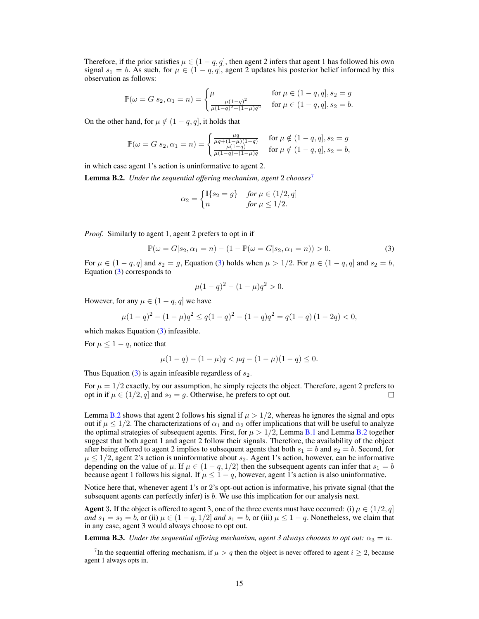Therefore, if the prior satisfies  $\mu \in (1-q, q]$ , then agent 2 infers that agent 1 has followed his own signal  $s_1 = b$ . As such, for  $\mu \in (1 - q, q]$ , agent 2 updates his posterior belief informed by this observation as follows:

$$
\mathbb{P}(\omega = G|s_2, \alpha_1 = n) = \begin{cases} \mu & \text{for } \mu \in (1 - q, q], s_2 = g \\ \frac{\mu(1 - q)^2}{\mu(1 - q)^2 + (1 - \mu)q^2} & \text{for } \mu \in (1 - q, q], s_2 = b. \end{cases}
$$

On the other hand, for  $\mu \notin (1 - q, q]$ , it holds that

$$
\mathbb{P}(\omega = G|s_2, \alpha_1 = n) = \begin{cases} \frac{\mu q}{\mu q + (1 - \mu)(1 - q)} & \text{for } \mu \notin (1 - q, q], s_2 = g\\ \frac{\mu (1 - q)}{\mu (1 - q) + (1 - \mu)q} & \text{for } \mu \notin (1 - q, q], s_2 = b, \end{cases}
$$

in which case agent 1's action is uninformative to agent 2.

<span id="page-14-2"></span>**Lemma B.2.** *Under the sequential offering mechanism, agent* 2 *chooses*<sup>[7](#page-14-0)</sup>

$$
\alpha_2 = \begin{cases} \mathbb{I}\{s_2 = g\} & \text{for } \mu \in (1/2, q] \\ n & \text{for } \mu \le 1/2. \end{cases}
$$

*Proof.* Similarly to agent 1, agent 2 prefers to opt in if

$$
\mathbb{P}(\omega = G|s_2, \alpha_1 = n) - (1 - \mathbb{P}(\omega = G|s_2, \alpha_1 = n)) > 0.
$$
 (3)

For  $\mu \in (1-q, q]$  and  $s_2 = q$ , Equation [\(3\)](#page-14-1) holds when  $\mu > 1/2$ . For  $\mu \in (1-q, q]$  and  $s_2 = b$ , Equation [\(3\)](#page-14-1) corresponds to

<span id="page-14-1"></span>
$$
\mu(1-q)^2 - (1-\mu)q^2 > 0.
$$

However, for any  $\mu \in (1 - q, q]$  we have

$$
\mu(1-q)^2 - (1-\mu)q^2 \le q(1-q)^2 - (1-q)q^2 = q(1-q)(1-2q) < 0,
$$

which makes Equation [\(3\)](#page-14-1) infeasible.

For  $\mu \leq 1 - q$ , notice that

$$
\mu(1-q) - (1-\mu)q < \mu q - (1-\mu)(1-q) \le 0.
$$

Thus Equation  $(3)$  is again infeasible regardless of  $s_2$ .

For  $\mu = 1/2$  exactly, by our assumption, he simply rejects the object. Therefore, agent 2 prefers to opt in if  $\mu \in (1/2, q]$  and  $s_2 = g$ . Otherwise, he prefers to opt out.  $\Box$ 

Lemma [B.2](#page-14-2) shows that agent 2 follows his signal if  $\mu > 1/2$ , whereas he ignores the signal and opts out if  $\mu \leq 1/2$ . The characterizations of  $\alpha_1$  and  $\alpha_2$  offer implications that will be useful to analyze the optimal strategies of subsequent agents. First, for  $\mu > 1/2$ , Lemma [B.1](#page-13-1) and Lemma [B.2](#page-14-2) together suggest that both agent 1 and agent 2 follow their signals. Therefore, the availability of the object after being offered to agent 2 implies to subsequent agents that both  $s_1 = b$  and  $s_2 = b$ . Second, for  $\mu \leq 1/2$ , agent 2's action is uninformative about  $s_2$ . Agent 1's action, however, can be informative depending on the value of  $\mu$ . If  $\mu \in (1 - q, 1/2)$  then the subsequent agents can infer that  $s_1 = b$ because agent 1 follows his signal. If  $\mu \leq 1 - q$ , however, agent 1's action is also uninformative.

Notice here that, whenever agent 1's or 2's opt-out action is informative, his private signal (that the subsequent agents can perfectly infer) is b. We use this implication for our analysis next.

**Agent 3.** If the object is offered to agent 3, one of the three events must have occurred: (i)  $\mu \in (1/2, q]$ *and*  $s_1 = s_2 = b$ , or (ii)  $\mu \in (1 - q, 1/2]$  *and*  $s_1 = b$ , or (iii)  $\mu \le 1 - q$ . Nonetheless, we claim that in any case, agent 3 would always choose to opt out.

<span id="page-14-3"></span>**Lemma B.3.** *Under the sequential offering mechanism, agent 3 always chooses to opt out:*  $\alpha_3 = n$ .

<span id="page-14-0"></span><sup>&</sup>lt;sup>7</sup>In the sequential offering mechanism, if  $\mu > q$  then the object is never offered to agent  $i \geq 2$ , because agent 1 always opts in.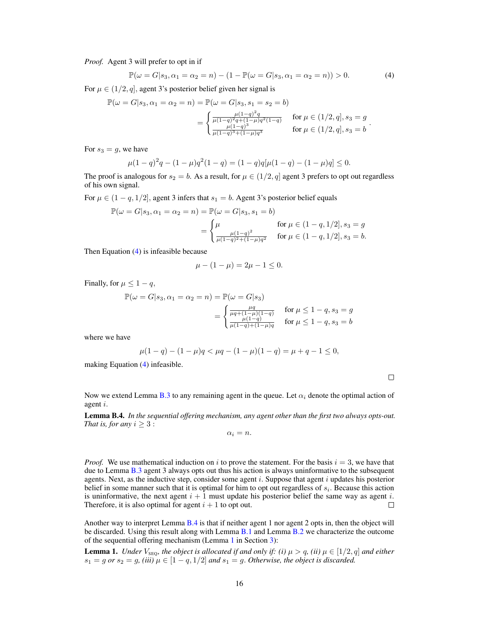*Proof.* Agent 3 will prefer to opt in if

<span id="page-15-0"></span>
$$
\mathbb{P}(\omega = G|s_3, \alpha_1 = \alpha_2 = n) - (1 - \mathbb{P}(\omega = G|s_3, \alpha_1 = \alpha_2 = n)) > 0.
$$
 (4)

For  $\mu \in (1/2, q]$ , agent 3's posterior belief given her signal is

$$
\mathbb{P}(\omega = G|s_3, \alpha_1 = \alpha_2 = n) = \mathbb{P}(\omega = G|s_3, s_1 = s_2 = b)
$$

$$
= \begin{cases} \frac{\mu(1-q)^2 q}{\mu(1-q)^2 q + (1-\mu) q^2 (1-q)} & \text{for } \mu \in (1/2, q], s_3 = g \\ \frac{\mu(1-q)^3}{\mu(1-q)^3 + (1-\mu) q^3} & \text{for } \mu \in (1/2, q], s_3 = b \end{cases}.
$$

For  $s_3 = g$ , we have

$$
\mu(1-q)^2q - (1-\mu)q^2(1-q) = (1-q)q[\mu(1-q) - (1-\mu)q] \le 0.
$$

The proof is analogous for  $s_2 = b$ . As a result, for  $\mu \in (1/2, q]$  agent 3 prefers to opt out regardless of his own signal.

For  $\mu \in (1 - q, 1/2]$ , agent 3 infers that  $s_1 = b$ . Agent 3's posterior belief equals

$$
\mathbb{P}(\omega = G|s_3, \alpha_1 = \alpha_2 = n) = \mathbb{P}(\omega = G|s_3, s_1 = b)
$$

$$
= \begin{cases} \mu & \text{for } \mu \in (1 - q, 1/2], s_3 = g \\ \frac{\mu(1 - q)^2}{\mu(1 - q)^2 + (1 - \mu)q^2} & \text{for } \mu \in (1 - q, 1/2], s_3 = b. \end{cases}
$$

Then Equation [\(4\)](#page-15-0) is infeasible because

$$
\mu - (1 - \mu) = 2\mu - 1 \le 0.
$$

Finally, for  $\mu \leq 1 - q$ ,

$$
\mathbb{P}(\omega = G|s_3, \alpha_1 = \alpha_2 = n) = \mathbb{P}(\omega = G|s_3)
$$

$$
= \begin{cases} \frac{\mu q}{\mu q + (1 - \mu)(1 - q)} & \text{for } \mu \le 1 - q, s_3 = g \\ \frac{\mu (1 - q)}{\mu(1 - q) + (1 - \mu)q} & \text{for } \mu \le 1 - q, s_3 = b \end{cases}
$$

where we have

$$
\mu(1-q) - (1-\mu)q < \mu q - (1-\mu)(1-q) = \mu + q - 1 \le 0,
$$

making Equation [\(4\)](#page-15-0) infeasible.

 $\Box$ 

Now we extend Lemma [B.3](#page-14-3) to any remaining agent in the queue. Let  $\alpha_i$  denote the optimal action of agent i.

<span id="page-15-1"></span>Lemma B.4. *In the sequential offering mechanism, any agent other than the first two always opts-out. That is, for any*  $i \geq 3$ :

 $\alpha_i = n$ .

*Proof.* We use mathematical induction on i to prove the statement. For the basis  $i = 3$ , we have that due to Lemma [B.3](#page-14-3) agent 3 always opts out thus his action is always uninformative to the subsequent agents. Next, as the inductive step, consider some agent  $i$ . Suppose that agent  $i$  updates his posterior belief in some manner such that it is optimal for him to opt out regardless of  $s_i$ . Because this action is uninformative, the next agent  $i + 1$  must update his posterior belief the same way as agent i. Therefore, it is also optimal for agent  $i + 1$  to opt out.  $\Box$ 

Another way to interpret Lemma [B.4](#page-15-1) is that if neither agent 1 nor agent 2 opts in, then the object will be discarded. Using this result along with Lemma [B.1](#page-13-1) and Lemma [B.2](#page-14-2) we characterize the outcome of the sequential offering mechanism (Lemma [1](#page-3-4) in Section [3\)](#page-3-3):

**Lemma 1.** *Under*  $V_{\text{SEO}}$ *, the object is allocated if and only if: (i)*  $\mu > q$ *, (ii)*  $\mu \in [1/2, q]$  *and either*  $s_1 = g$  or  $s_2 = g$ , (iii)  $\mu \in [1 - q, 1/2]$  and  $s_1 = g$ . Otherwise, the object is discarded.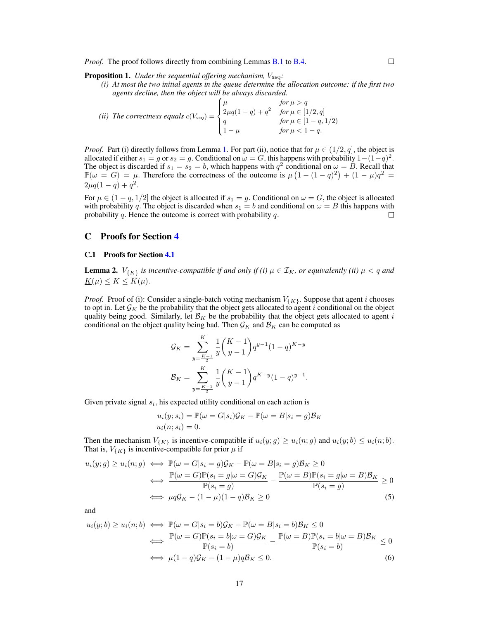*Proof.* The proof follows directly from combining Lemmas **[B.1](#page-13-1)** to **[B.4.](#page-15-1)** 

**Proposition 1.** *Under the sequential offering mechanism,*  $V_{\text{SEO}}$ *:* 

*(i) At most the two initial agents in the queue determine the allocation outcome: if the first two agents decline, then the object will be always discarded.*

*(ii) The correctness equals*  $c(V_{\text{SEQ}}) =$  $\sqrt{ }$  $\int$  $\overline{\mathcal{L}}$  $\mu$  *for*  $\mu > q$  $2\mu q(1-q) + q^2$  *for*  $\mu \in [1/2, q]$ q  $for \mu \in [1-q, 1/2)$  $1 - \mu$  *for*  $\mu < 1 - q$ .

*Proof.* Part (i) directly follows from Lemma [1.](#page-3-4) For part (ii), notice that for  $\mu \in (1/2, q]$ , the object is allocated if either  $s_1 = g$  or  $s_2 = g$ . Conditional on  $\omega = G$ , this happens with probability  $1 - (1 - q)^2$ . The object is discarded if  $s_1 = s_2 = b$ , which happens with  $q^2$  conditional on  $\omega = B$ . Recall that  $\mathbb{P}(\omega = G) = \mu$ . Therefore the correctness of the outcome is  $\mu(1 - (1 - q)^2) + (1 - \mu)q^2 =$  $2\mu q(1-q) + q^2$ .

For  $\mu \in (1 - q, 1/2]$  the object is allocated if  $s_1 = g$ . Conditional on  $\omega = G$ , the object is allocated with probability q. The object is discarded when  $s_1 = b$  and conditional on  $\omega = B$  this happens with probability q. Hence the outcome is correct with probability q. probability  $q$ . Hence the outcome is correct with probability  $q$ .

## <span id="page-16-0"></span>C Proofs for Section [4](#page-4-4)

#### C.1 Proofs for Section [4.1](#page-4-2)

**Lemma 2.**  $V_{\{K\}}$  *is incentive-compatible if and only if (i)*  $\mu \in \mathcal{I}_K$ *, or equivalently (ii)*  $\mu < q$  *and*  $\underline{K}(\mu) \leq K \leq \overline{K}(\mu).$ 

*Proof.* Proof of (i): Consider a single-batch voting mechanism  $V_{\{K\}}$ . Suppose that agent i chooses to opt in. Let  $\mathcal{G}_K$  be the probability that the object gets allocated to agent i conditional on the object quality being good. Similarly, let  $\mathcal{B}_K$  be the probability that the object gets allocated to agent i conditional on the object quality being bad. Then  $\mathcal{G}_K$  and  $\mathcal{B}_K$  can be computed as

$$
\mathcal{G}_K = \sum_{y=\frac{K+1}{2}}^K \frac{1}{y} {K-1 \choose y-1} q^{y-1} (1-q)^{K-y}
$$

$$
\mathcal{B}_K = \sum_{y=\frac{K+1}{2}}^K \frac{1}{y} {K-1 \choose y-1} q^{K-y} (1-q)^{y-1}.
$$

Given private signal  $s_i$ , his expected utility conditional on each action is

<span id="page-16-2"></span><span id="page-16-1"></span>
$$
u_i(y; s_i) = \mathbb{P}(\omega = G|s_i)\mathcal{G}_K - \mathbb{P}(\omega = B|s_i = g)\mathcal{B}_K
$$
  

$$
u_i(n; s_i) = 0.
$$

Then the mechanism  $V_{\{K\}}$  is incentive-compatible if  $u_i(y; g) \geq u_i(n; g)$  and  $u_i(y; b) \leq u_i(n; b)$ . That is,  $V_{\{K\}}$  is incentive-compatible for prior  $\mu$  if

$$
u_i(y;g) \ge u_i(n;g) \iff \mathbb{P}(\omega = G|s_i = g)\mathcal{G}_K - \mathbb{P}(\omega = B|s_i = g)\mathcal{B}_K \ge 0
$$
  

$$
\iff \frac{\mathbb{P}(\omega = G)\mathbb{P}(s_i = g|\omega = G)\mathcal{G}_K}{\mathbb{P}(s_i = g)} - \frac{\mathbb{P}(\omega = B)\mathbb{P}(s_i = g|\omega = B)\mathcal{B}_K}{\mathbb{P}(s_i = g)} \ge 0
$$
  

$$
\iff \mu q \mathcal{G}_K - (1 - \mu)(1 - q)\mathcal{B}_K \ge 0
$$
 (5)

and

$$
u_i(y;b) \ge u_i(n;b) \iff \mathbb{P}(\omega = G|s_i = b)\mathcal{G}_K - \mathbb{P}(\omega = B|s_i = b)\mathcal{B}_K \le 0
$$

$$
\iff \frac{\mathbb{P}(\omega = G)\mathbb{P}(s_i = b|\omega = G)\mathcal{G}_K}{\mathbb{P}(s_i = b)} - \frac{\mathbb{P}(\omega = B)\mathbb{P}(s_i = b|\omega = B)\mathcal{B}_K}{\mathbb{P}(s_i = b)} \le 0
$$

$$
\iff \mu(1-q)\mathcal{G}_K - (1-\mu)q\mathcal{B}_K \le 0.
$$
(6)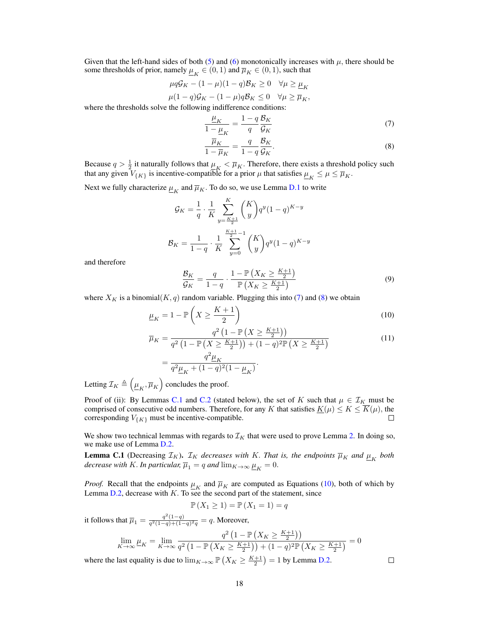Given that the left-hand sides of both [\(5\)](#page-16-1) and [\(6\)](#page-16-2) monotonically increases with  $\mu$ , there should be some thresholds of prior, namely  $\underline{\mu}_K \in (0,1)$  and  $\overline{\mu}_K \in (0,1)$ , such that

$$
\mu q G_K - (1 - \mu)(1 - q) B_K \ge 0 \quad \forall \mu \ge \underline{\mu}_K
$$
  

$$
\mu (1 - q) G_K - (1 - \mu) q B_K \le 0 \quad \forall \mu \ge \overline{\mu}_K,
$$

where the thresholds solve the following indifference conditions:

$$
\frac{\underline{\mu}_K}{1 - \underline{\mu}_K} = \frac{1 - q}{q} \frac{\mathcal{B}_K}{\mathcal{G}_K} \tag{7}
$$

<span id="page-17-2"></span><span id="page-17-1"></span>
$$
\frac{\overline{\mu}_K}{1 - \overline{\mu}_K} = \frac{q}{1 - q} \frac{\mathcal{B}_K}{\mathcal{G}_K}.
$$
\n(8)

Because  $q > \frac{1}{2}$  it naturally follows that  $\mu_K < \overline{\mu}_K$ . Therefore, there exists a threshold policy such that any given  $V_{\{K\}}$  is incentive-compatible for a prior  $\mu$  that satisfies  $\underline{\mu}_K \le \mu \le \overline{\mu}_K$ .

Next we fully characterize  $\underline{\mu}_K$  and  $\overline{\mu}_K$ . To do so, we use Lemma [D.1](#page-24-1) to write

$$
\mathcal{G}_K = \frac{1}{q} \cdot \frac{1}{K} \sum_{y=\frac{K+1}{2}}^K {K \choose y} q^y (1-q)^{K-y}
$$

$$
\mathcal{B}_K = \frac{1}{1-q} \cdot \frac{1}{K} \sum_{y=0}^{\frac{K+1}{2}-1} {K \choose y} q^y (1-q)^{K-y}
$$

and therefore

<span id="page-17-3"></span>
$$
\frac{\mathcal{B}_K}{\mathcal{G}_K} = \frac{q}{1-q} \cdot \frac{1-\mathbb{P}\left(X_K \ge \frac{K+1}{2}\right)}{\mathbb{P}\left(X_K \ge \frac{K+1}{2}\right)}\tag{9}
$$

where  $X_K$  is a binomial(K, q) random variable. Plugging this into [\(7\)](#page-17-1) and [\(8\)](#page-17-2) we obtain

$$
\underline{\mu}_K = 1 - \mathbb{P}\left(X \ge \frac{K+1}{2}\right) \tag{10}
$$

$$
\overline{\mu}_K = \frac{q^2 \left(1 - \mathbb{P}\left(X \ge \frac{K+1}{2}\right)\right)}{q^2 \left(1 - \mathbb{P}\left(X \ge \frac{K+1}{2}\right)\right) + (1-q)^2 \mathbb{P}\left(X \ge \frac{K+1}{2}\right)}
$$
\n
$$
= \frac{q^2 \mu_K}{q^2 \mu_K + (1-q)^2 (1-\mu_K)}.
$$
\n(11)

Letting  $\mathcal{I}_K \triangleq \left(\underline{\mu}_K, \overline{\mu}_K\right)$  concludes the proof.

Proof of (ii): By Lemmas [C.1](#page-17-0) and [C.2](#page-18-0) (stated below), the set of K such that  $\mu \in \mathcal{I}_K$  must be comprised of consecutive odd numbers. Therefore, for any K that satisfies  $\underline{K}(\mu) \le K \le \overline{K}(\mu)$ , the corresponding  $V_{\{K\}}$  must be incentive-compatible. П

We show two technical lemmas with regards to  $\mathcal{I}_K$  that were used to prove Lemma [2.](#page-5-0) In doing so, we make use of Lemma [D.2.](#page-25-0)

<span id="page-17-0"></span>**Lemma C.1** (Decreasing  $\mathcal{I}_K$ ).  $\mathcal{I}_K$  decreases with K. *That is, the endpoints*  $\overline{\mu}_K$  *and*  $\underline{\mu}_K$  *both*  $\emph{decrease with $K$. In particular, $\overline{\mu}_1=q$ and $\lim_{K\rightarrow\infty}\underline{\mu}_K=0$.}$ 

*Proof.* Recall that the endpoints  $\mu_K$  and  $\overline{\mu}_K$  are computed as Equations [\(10\)](#page-17-3), both of which by Lemma  $D.2$ , decrease with  $K$ . To see the second part of the statement, since

$$
\mathbb{P}(X_1 \ge 1) = \mathbb{P}(X_1 = 1) = q
$$

it follows that  $\overline{\mu}_1 = \frac{q^2(1-q)}{q^2(1-q)+(1-q)}$  $\frac{q^-(1-q)}{q^2(1-q)+(1-q)^2q} = q.$  Moreover,

$$
\lim_{K \to \infty} \mu_K = \lim_{K \to \infty} \frac{q^2 \left(1 - \mathbb{P}\left(X_K \ge \frac{K+1}{2}\right)\right)}{q^2 \left(1 - \mathbb{P}\left(X_K \ge \frac{K+1}{2}\right)\right) + (1-q)^2 \mathbb{P}\left(X_K \ge \frac{K+1}{2}\right)} = 0
$$

 $\Box$ 

where the last equality is due to  $\lim_{K \to \infty} \mathbb{P}\left(X_K \geq \frac{K+1}{2}\right) = 1$  by Lemma [D.2.](#page-25-0)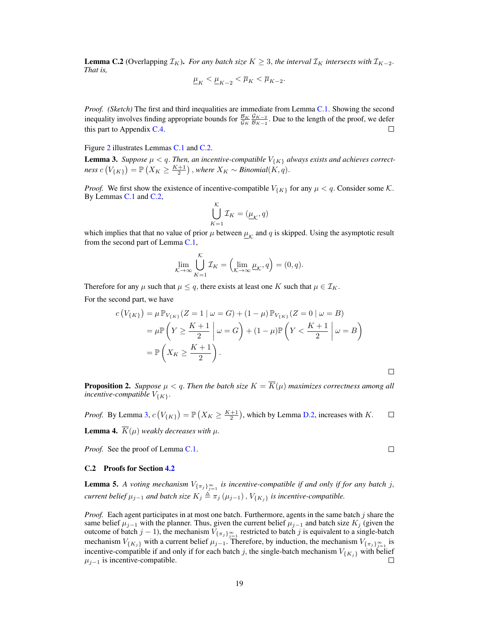<span id="page-18-0"></span>**Lemma C.2** (Overlapping  $\mathcal{I}_K$ ). *For any batch size*  $K \geq 3$ , *the interval*  $\mathcal{I}_K$  *intersects with*  $\mathcal{I}_{K-2}$ *. That is,*

$$
\underline{\mu}_K<\underline{\mu}_{K-2}<\overline{\mu}_K<\overline{\mu}_{K-2}.
$$

*Proof. (Sketch)* The first and third inequalities are immediate from Lemma [C.1.](#page-17-0) Showing the second  ${\cal G}_{K-2}$ inequality involves finding appropriate bounds for  $\frac{\mathcal{B}_K}{\mathcal{G}_K}$  $\frac{9K-2}{B_{K-2}}$ . Due to the length of the proof, we defer this part to Appendix [C.4.](#page-21-0)  $\Box$ 

Figure [2](#page-5-1) illustrates Lemmas [C.1](#page-17-0) and [C.2.](#page-18-0)

**Lemma 3.** Suppose  $\mu < q$ . Then, an incentive-compatible  $V_{\{K\}}$  always exists and achieves correct $ness\ c\left(V_{\{K\}}\right) = \mathbb{P}\left(X_K \geq \frac{K+1}{2}\right), where\ X_K \sim Binomial(K, q).$ 

*Proof.* We first show the existence of incentive-compatible  $V_{\{K\}}$  for any  $\mu < q$ . Consider some K. By Lemmas [C.1](#page-17-0) and [C.2,](#page-18-0)

$$
\bigcup_{K=1}^{\mathcal{K}} \mathcal{I}_K = (\underline{\mu}_{\mathcal{K}}, q)
$$

which implies that that no value of prior  $\mu$  between  $\mu_{\mathcal{K}}$  and q is skipped. Using the asymptotic result from the second part of Lemma [C.1,](#page-17-0)

$$
\lim_{\mathcal{K}\to\infty}\bigcup_{K=1}^{\mathcal{K}}\mathcal{I}_K=\left(\lim_{\mathcal{K}\to\infty}\underline{\mu}_{\mathcal{K}},q\right)=(0,q).
$$

Therefore for any  $\mu$  such that  $\mu \leq q$ , there exists at least one K such that  $\mu \in \mathcal{I}_K$ .

For the second part, we have

$$
c(V_{\{K\}}) = \mu \mathbb{P}_{V_{\{K\}}} (Z = 1 | \omega = G) + (1 - \mu) \mathbb{P}_{V_{\{K\}}} (Z = 0 | \omega = B)
$$
  
= 
$$
\mu \mathbb{P} \left( Y \ge \frac{K+1}{2} | \omega = G \right) + (1 - \mu) \mathbb{P} \left( Y < \frac{K+1}{2} | \omega = B \right)
$$
  
= 
$$
\mathbb{P} \left( X_K \ge \frac{K+1}{2} \right).
$$

**Proposition 2.** *Suppose*  $\mu < q$ . *Then the batch size*  $K = \overline{K}(\mu)$  *maximizes correctness among all incentive-compatible*  $V_{\{K\}}$ .

*Proof.* By Lemma [3,](#page-6-0)  $c(V_{\{K\}}) = \mathbb{P}\left(X_K \geq \frac{K+1}{2}\right)$ , which by Lemma [D.2,](#page-25-0) increases with K.  $\Box$ **Lemma 4.**  $\overline{K}(\mu)$  *weakly decreases with*  $\mu$ .

*Proof.* See the proof of Lemma [C.1.](#page-17-0)

#### C.2 Proofs for Section [4.2](#page-6-1)

**Lemma 5.** A voting mechanism  $V_{\{\pi_j\}_{j=1}^{\infty}}$  is incentive-compatible if and only if for any batch j, *current belief*  $\mu_{j-1}$  *and batch size*  $K_j \triangleq \pi_j(\mu_{j-1}), V_{\{K_j\}}$  *is incentive-compatible.* 

*Proof.* Each agent participates in at most one batch. Furthermore, agents in the same batch j share the same belief  $\mu_{j-1}$  with the planner. Thus, given the current belief  $\mu_{j-1}$  and batch size  $K_j$  (given the outcome of batch  $j-1$ ), the mechanism  $V_{\{\pi_j\}_{j=1}^\infty}$  restricted to batch j is equivalent to a single-batch mechanism  $V_{\{K_j\}}$  with a current belief  $\mu_{j-1}$ . Therefore, by induction, the mechanism  $V_{\{\pi_j\}_{j=1}^\infty}$  is incentive-compatible if and only if for each batch j, the single-batch mechanism  $V_{\{K_j\}}$  with belief  $\mu_{j-1}$  is incentive-compatible. □

 $\Box$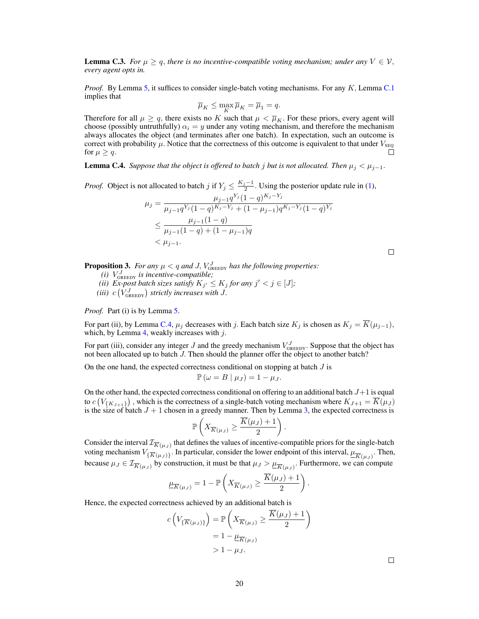<span id="page-19-0"></span>**Lemma C.3.** *For*  $\mu \geq q$ , *there is no incentive-compatible voting mechanism; under any*  $V \in \mathcal{V}$ , *every agent opts in.*

*Proof.* By Lemma [5,](#page-6-5) it suffices to consider single-batch voting mechanisms. For any K, Lemma [C.1](#page-17-0) implies that

$$
\overline{\mu}_K \le \max_{K} \overline{\mu}_K = \overline{\mu}_1 = q.
$$

Therefore for all  $\mu \ge q$ , there exists no K such that  $\mu < \overline{\mu}_K$ . For these priors, every agent will choose (possibly untruthfully)  $\alpha_i = y$  under any voting mechanism, and therefore the mechanism always allocates the object (and terminates after one batch). In expectation, such an outcome is correct with probability  $\mu$ . Notice that the correctness of this outcome is equivalent to that under  $V_{\text{SEQ}}$ for  $\mu \geq q$ . П

<span id="page-19-1"></span>**Lemma C.4.** *Suppose that the object is offered to batch j but is not allocated. Then*  $\mu_j < \mu_{j-1}$ .

*Proof.* Object is not allocated to batch j if  $Y_j \n\t\leq \frac{K_j-1}{2}$ . Using the posterior update rule in [\(1\)](#page-2-1),

$$
\mu_j = \frac{\mu_{j-1} q^{Y_j} (1-q)^{K_j - Y_j}}{\mu_{j-1} q^{Y_j} (1-q)^{K_j - Y_j} + (1-\mu_{j-1}) q^{K_j - Y_j} (1-q)^{Y_j}}
$$
  
\n
$$
\leq \frac{\mu_{j-1} (1-q)}{\mu_{j-1} (1-q) + (1-\mu_{j-1}) q}
$$
  
\n
$$
< \mu_{j-1}.
$$

 $\Box$ 

**Proposition 3.** For any  $\mu < q$  and J,  $V_{\text{GREEDY}}^J$  has the following properties:

- $(i)$   $V_{\text{GREEDY}}^J$  *is incentive-compatible;*
- (*ii*) Ex-post batch sizes satisfy  $K_{j'} \leq K_j$  for any  $j' < j \in [J]$ ;

(*iii*)  $c(V_{\text{GREEDY}}^J)$  strictly increases with J.

*Proof.* Part (i) is by Lemma [5.](#page-6-5)

For part (ii), by Lemma [C.4,](#page-19-1)  $\mu_j$  decreases with j. Each batch size  $K_j$  is chosen as  $K_j = \overline{K}(\mu_{j-1}),$ which, by Lemma [4,](#page-6-3) weakly increases with  $j$ .

For part (iii), consider any integer J and the greedy mechanism  $V_{\text{GREDY}}^J$ . Suppose that the object has not been allocated up to batch J. Then should the planner offer the object to another batch?

On the one hand, the expected correctness conditional on stopping at batch  $J$  is

$$
\mathbb{P}(\omega = B \mid \mu_J) = 1 - \mu_J.
$$

On the other hand, the expected correctness conditional on offering to an additional batch  $J+1$  is equal to  $c(V_{\{K_{J+1}\}})$ , which is the correctness of a single-batch voting mechanism where  $K_{J+1} = \overline{K}(\mu_J)$ is the size of batch  $J + 1$  chosen in a greedy manner. Then by Lemma [3,](#page-6-0) the expected correctness is

$$
\mathbb{P}\left(X_{\overline{K}(\mu_J)} \geq \frac{\overline{K}(\mu_J) + 1}{2}\right).
$$

Consider the interval  $\mathcal{I}_{\overline{K}(\mu_J)}$  that defines the values of incentive-compatible priors for the single-batch voting mechanism  $V_{\{\overline{K}(\mu_J)\}}$ . In particular, consider the lower endpoint of this interval,  $\underline{\mu}_{\overline{K}(\mu_J)}$ . Then, because  $\mu_J \in \mathcal{I}_{\overline{K}(\mu_J)}$  by construction, it must be that  $\mu_J > \underline{\mu}_{\overline{K}(\mu_J)}$ . Furthermore, we can compute

$$
\underline{\mu}_{\overline{K}(\mu_J)} = 1 - \mathbb{P}\left(X_{\overline{K}(\mu_J)} \ge \frac{\overline{K}(\mu_J) + 1}{2}\right).
$$

Hence, the expected correctness achieved by an additional batch is

$$
c\left(V_{\{\overline{K}(\mu_J)\}}\right) = \mathbb{P}\left(X_{\overline{K}(\mu_J)} \ge \frac{\overline{K}(\mu_J) + 1}{2}\right)
$$

$$
= 1 - \mu_{\overline{K}(\mu_J)}
$$

$$
> 1 - \mu_J.
$$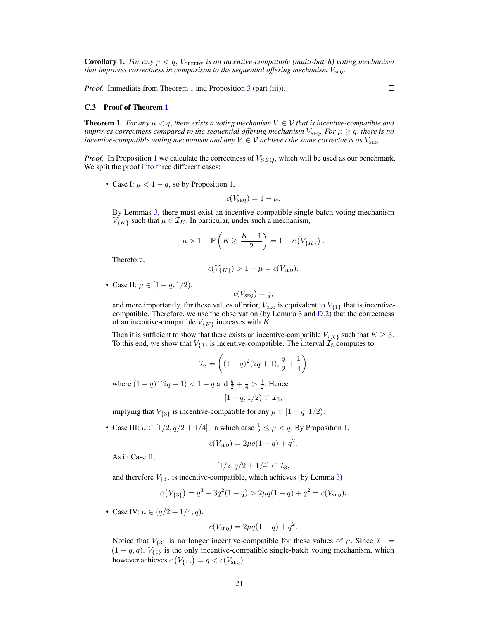**Corollary 1.** *For any*  $\mu < q$ ,  $V_{\text{GREEDY}}$  *is an incentive-compatible (multi-batch) voting mechanism that improves correctness in comparison to the sequential offering mechanism*  $V_{\text{SEQ}}$ .

*Proof.* Immediate from Theorem [1](#page-4-1) and Proposition [3](#page-7-1) (part (iii)).

 $\Box$ 

#### <span id="page-20-0"></span>C.3 Proof of Theorem [1](#page-4-1)

**Theorem 1.** *For any*  $\mu < q$ , *there exists a voting mechanism*  $V \in V$  *that is incentive-compatible and improves correctness compared to the sequential offering mechanism*  $V_{\text{SEQ}}$ *. For*  $\mu \geq q$ *, there is no incentive-compatible voting mechanism and any*  $V \in V$  *achieves the same correctness as*  $V_{\text{SEO}}$ .

*Proof.* In Proposition [1](#page-3-2) we calculate the correctness of  $V_{SEQ}$ , which will be used as our benchmark. We split the proof into three different cases:

• Case I:  $\mu < 1 - q$ , so by Proposition [1,](#page-3-2)

$$
c(V_{\text{seg}}) = 1 - \mu.
$$

By Lemmas [3,](#page-6-0) there must exist an incentive-compatible single-batch voting mechanism  $V_{\{K\}}$  such that  $\mu \in \mathcal{I}_K$ . In particular, under such a mechanism,

$$
\mu > 1 - \mathbb{P}\left(K \ge \frac{K+1}{2}\right) = 1 - c\left(V_{\{K\}}\right).
$$

Therefore,

$$
c(V_{\{K\}}) > 1 - \mu = c(V_{\text{seq}}).
$$

• Case II:  $\mu \in [1 - q, 1/2)$ .

$$
c(V_{\text{SEQ}})=q,
$$

and more importantly, for these values of prior,  $V_{\text{SEQ}}$  is equivalent to  $V_{\{1\}}$  that is incentivecompatible. Therefore, we use the observation (by Lemma  $3$  and  $D.2$ ) that the correctness of an incentive-compatible  $V_{\{K\}}$  increases with K.

Then it is sufficient to show that there exists an incentive-compatible  $V_{\{K\}}$  such that  $K \geq 3$ . To this end, we show that  $V_{\{3\}}$  is incentive-compatible. The interval  $\tilde{\mathcal{I}}_3$  computes to

$$
\mathcal{I}_3 = \left( (1-q)^2 (2q+1), \frac{q}{2} + \frac{1}{4} \right)
$$

where  $(1 - q)^2 (2q + 1) < 1 - q$  and  $\frac{q}{2} + \frac{1}{4} > \frac{1}{2}$ . Hence

$$
[1-q,1/2)\subset \mathcal{I}_3,
$$

implying that  $V_{\{3\}}$  is incentive-compatible for any  $\mu \in [1-q, 1/2)$ .

• Case III:  $\mu \in [1/2, q/2 + 1/4]$ , in which case  $\frac{1}{2} \leq \mu < q$ . By Proposition [1,](#page-3-2)

$$
c(V_{\text{seg}}) = 2\mu q(1-q) + q^2.
$$

As in Case II,

$$
[1/2,q/2+1/4]\subset \mathcal{I}_3,
$$

and therefore  $V_{\{3\}}$  is incentive-compatible, which achieves (by Lemma [3\)](#page-6-0)

$$
c(V_{\{3\}}) = q^3 + 3q^2(1-q) > 2\mu q(1-q) + q^2 = c(V_{\text{SEQ}}).
$$

• Case IV:  $\mu \in (q/2 + 1/4, q)$ .

$$
c(V_{\text{seg}}) = 2\mu q(1-q) + q^2.
$$

Notice that  $V_{\{3\}}$  is no longer incentive-compatible for these values of  $\mu$ . Since  $\mathcal{I}_1$  =  $(1 - q, q)$ ,  $V_{\{1\}}$  is the only incentive-compatible single-batch voting mechanism, which however achieves  $c(V_{\{1\}}) = q < c(V_{\text{seg}})$ .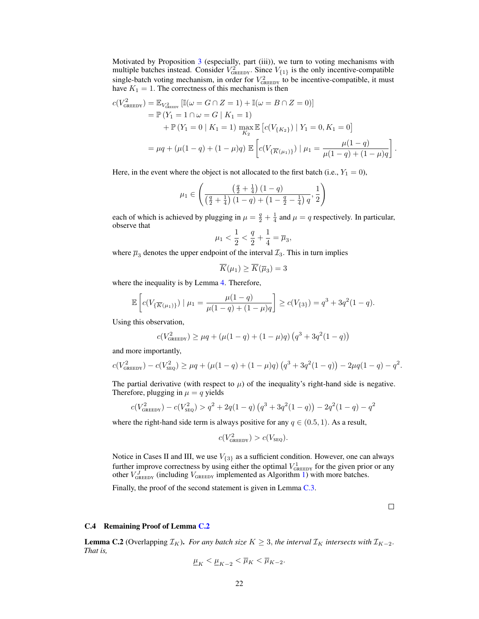Motivated by Proposition [3](#page-7-1) (especially, part (iii)), we turn to voting mechanisms with multiple batches instead. Consider  $V_{\text{GREEDY}}^2$ . Since  $V_{\{1\}}$  is the only incentive-compatible single-batch voting mechanism, in order for  $V_{\text{GREEDY}}^2$  to be incentive-compatible, it must have  $K_1 = 1$ . The correctness of this mechanism is then

$$
c(V_{\text{GREEDY}}^2) = \mathbb{E}_{V_{\text{GREEDY}}^2} [\mathbb{I}(\omega = G \cap Z = 1) + \mathbb{I}(\omega = B \cap Z = 0)]
$$
  
=  $\mathbb{P}(Y_1 = 1 \cap \omega = G | K_1 = 1)$   
+  $\mathbb{P}(Y_1 = 0 | K_1 = 1) \max_{K_2} \mathbb{E} [c(V_{\{K_2\}}) | Y_1 = 0, K_1 = 0]$   
=  $\mu q + (\mu(1 - q) + (1 - \mu)q) \mathbb{E} \left[ c(V_{\{\overline{K}(\mu_1)\}}) | \mu_1 = \frac{\mu(1 - q)}{\mu(1 - q) + (1 - \mu)q} \right].$ 

Here, in the event where the object is not allocated to the first batch (i.e.,  $Y_1 = 0$ ),

$$
\mu_1 \in \left( \frac{\left(\frac{q}{2} + \frac{1}{4}\right)(1 - q)}{\left(\frac{q}{2} + \frac{1}{4}\right)(1 - q) + \left(1 - \frac{q}{2} - \frac{1}{4}\right)q}, \frac{1}{2} \right)
$$

each of which is achieved by plugging in  $\mu = \frac{q}{2} + \frac{1}{4}$  and  $\mu = q$  respectively. In particular, observe that

$$
\mu_1 < \frac{1}{2} < \frac{q}{2} + \frac{1}{4} = \overline{\mu}_3,
$$

where  $\overline{\mu}_3$  denotes the upper endpoint of the interval  $\mathcal{I}_3$ . This in turn implies

$$
\overline{K}(\mu_1) \ge \overline{K}(\overline{\mu}_3) = 3
$$

where the inequality is by Lemma [4.](#page-6-3) Therefore,

$$
\mathbb{E}\left[c(V_{\{\overline{K}(\mu_1)\}})\mid \mu_1=\frac{\mu(1-q)}{\mu(1-q)+(1-\mu)q}\right]\geq c(V_{\{3\}})=q^3+3q^2(1-q).
$$

Using this observation,

$$
c(V_{\text{GREEDY}}^2) \ge \mu q + (\mu(1-q) + (1-\mu)q) (q^3 + 3q^2(1-q))
$$

and more importantly,

$$
c(V_{\text{GREEDY}}^2) - c(V_{\text{SEQ}}^2) \ge \mu q + (\mu(1-q) + (1-\mu)q) \left( q^3 + 3q^2(1-q) \right) - 2\mu q(1-q) - q^2.
$$

The partial derivative (with respect to  $\mu$ ) of the inequality's right-hand side is negative. Therefore, plugging in  $\mu = q$  yields

$$
c(V_{\text{GREDY}}^2) - c(V_{\text{SEQ}}^2) > q^2 + 2q(1-q)\left(q^3 + 3q^2(1-q)\right) - 2q^2(1-q) - q^2
$$

where the right-hand side term is always positive for any  $q \in (0.5, 1)$ . As a result,

$$
c(V_{\text{greeDY}}^2) > c(V_{\text{seg}}).
$$

Notice in Cases II and III, we use  $V_{\{3\}}$  as a sufficient condition. However, one can always further improve correctness by using either the optimal  $V_{\text{GREDY}}^1$  for the given prior or any other  $V_{\text{GREEDY}}^J$  (including  $V_{\text{GREEDY}}$  implemented as Algorithm [1\)](#page-7-2) with more batches.

Finally, the proof of the second statement is given in Lemma [C.3.](#page-19-0)

#### $\Box$

#### <span id="page-21-0"></span>C.4 Remaining Proof of Lemma [C.2](#page-18-0)

**Lemma C.2** (Overlapping  $\mathcal{I}_K$ ). *For any batch size*  $K \geq 3$ , *the interval*  $\mathcal{I}_K$  *intersects with*  $\mathcal{I}_{K-2}$ . *That is,*

$$
\underline{\mu}_K<\underline{\mu}_{K-2}<\overline{\mu}_K<\overline{\mu}_{K-2}.
$$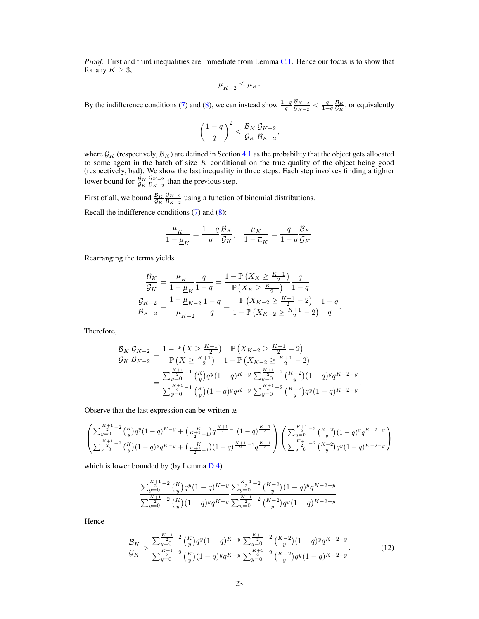*Proof.* First and third inequalities are immediate from Lemma [C.1.](#page-17-0) Hence our focus is to show that for any  $K \geq 3$ ,

$$
\underline{\mu}_{K-2}\leq \overline{\mu}_K.
$$

By the indifference conditions [\(7\)](#page-17-1) and [\(8\)](#page-17-2), we can instead show  $\frac{1-q}{q} \frac{B_{K-2}}{G_{K-2}}$  $\frac{\mathcal{B}_{K-2}}{\mathcal{G}_{K-2}} < \frac{q}{1-q} \frac{\mathcal{B}_K}{\mathcal{G}_K}$ , or equivalently

$$
\left(\frac{1-q}{q}\right)^2 < \frac{\mathcal{B}_K}{\mathcal{G}_K} \frac{\mathcal{G}_{K-2}}{\mathcal{B}_{K-2}},
$$

where  $\mathcal{G}_K$  (respectively,  $\mathcal{B}_K$ ) are defined in Section [4.1](#page-4-2) as the probability that the object gets allocated to some agent in the batch of size  $K$  conditional on the true quality of the object being good (respectively, bad). We show the last inequality in three steps. Each step involves finding a tighter lower bound for  $\frac{\mathcal{B}_K}{\mathcal{G}_K}$  ${\cal G}_{K-2}$  $\frac{9K-2}{B_{K-2}}$  than the previous step.

First of all, we bound  $\frac{\mathcal{B}_K}{\mathcal{G}_K}$  ${\cal G}_{K-2}$  $\frac{9K-2}{B_{K-2}}$  using a function of binomial distributions. Recall the indifference conditions [\(7\)](#page-17-1) and [\(8\)](#page-17-2):

$$
\frac{\underline{\mu}_K}{1-\underline{\mu}_K}=\frac{1-q}{q}\frac{\mathcal{B}_K}{\mathcal{G}_K},\quad \frac{\overline{\mu}_K}{1-\overline{\mu}_K}=\frac{q}{1-q}\frac{\mathcal{B}_K}{\mathcal{G}_K}.
$$

Rearranging the terms yields

$$
\frac{\mathcal{B}_K}{\mathcal{G}_K} = \frac{\underline{\mu}_K}{1 - \underline{\mu}_K} \frac{q}{1 - q} = \frac{1 - \mathbb{P}\left(X_K \ge \frac{K+1}{2}\right)}{\mathbb{P}\left(X_K \ge \frac{K+1}{2}\right)} \frac{q}{1 - q}
$$

$$
\frac{\mathcal{G}_{K-2}}{\mathcal{B}_{K-2}} = \frac{1 - \underline{\mu}_{K-2}}{\underline{\mu}_{K-2}} \frac{1 - q}{q} = \frac{\mathbb{P}\left(X_{K-2} \ge \frac{K+1}{2} - 2\right)}{1 - \mathbb{P}\left(X_{K-2} \ge \frac{K+1}{2} - 2\right)} \frac{1 - q}{q}.
$$

Therefore,

$$
\frac{\mathcal{B}_{K}}{\mathcal{G}_{K}} \frac{\mathcal{G}_{K-2}}{\mathcal{B}_{K-2}} = \frac{1 - \mathbb{P}\left(X \geq \frac{K+1}{2}\right)}{\mathbb{P}\left(X \geq \frac{K+1}{2}\right)} \frac{\mathbb{P}\left(X_{K-2} \geq \frac{K+1}{2} - 2\right)}{1 - \mathbb{P}\left(X_{K-2} \geq \frac{K+1}{2} - 2\right)} = \frac{\sum_{y=0}^{\frac{K+1}{2} - 1} {K \choose y} q^{y} (1 - q)^{K-y}}{\sum_{y=0}^{\frac{K+1}{2} - 1} {K \choose y} (1 - q)^{y} q^{K-y}} \frac{\sum_{y=0}^{\frac{K+1}{2} - 2} {K-2 \choose y} (1 - q)^{y} q^{K-2-y}}{\sum_{y=0}^{\frac{K+1}{2} - 2} {K-2 \choose y} q^{y} (1 - q)^{K-2-y}}.
$$

Observe that the last expression can be written as

$$
\left(\frac{\sum_{y=0}^{\frac{K+1}{2}-2}\binom{K}{y}q^y(1-q)^{K-y}+\binom{K}{\frac{K+1}{2}-1}q^{\frac{K+1}{2}-1}(1-q)^{\frac{K+1}{2}}}{\sum_{y=0}^{\frac{K+1}{2}-2}\binom{K}{y}(1-q)^y q^{K-y}+\binom{K}{\frac{K+1}{2}-1}(1-q)^{\frac{K+1}{2}-1}q^{\frac{K+1}{2}}}\right)\left(\frac{\sum_{y=0}^{\frac{K+1}{2}-2}\binom{K-2}{y}(1-q)^y q^{K-2-y}}{\sum_{y=0}^{\frac{K+1}{2}-2}\binom{K-2}{y}q^y(1-q)^{K-2-y}}\right)
$$

which is lower bounded by (by Lemma [D.4\)](#page-26-0)

<span id="page-22-0"></span>
$$
\frac{\sum_{y=0}^{\frac{K+1}{2}-2} {K \choose y} q^y (1-q)^{K-y}}{\sum_{y=0}^{\frac{K+1}{2}-2} {K \choose y} (1-q)^y q^{K-y}} \frac{\sum_{y=0}^{\frac{K+1}{2}-2} {K-2 \choose y} (1-q)^y q^{K-2-y}}{\sum_{y=0}^{\frac{K+1}{2}-2} {K-2 \choose y} q^y (1-q)^{K-2-y}}.
$$

Hence

$$
\frac{\mathcal{B}_K}{\mathcal{G}_K} > \frac{\sum_{y=0}^{\frac{K+1}{2}-2} \binom{K}{y} q^y (1-q)^{K-y}}{\sum_{y=0}^{\frac{K+1}{2}-2} \binom{K}{y} (1-q)^y q^{K-y}} \frac{\sum_{y=0}^{\frac{K+1}{2}-2} \binom{K-2}{y} (1-q)^y q^{K-2-y}}{\sum_{y=0}^{\frac{K+1}{2}-2} \binom{K-2}{y} q^y (1-q)^{K-2-y}}.\tag{12}
$$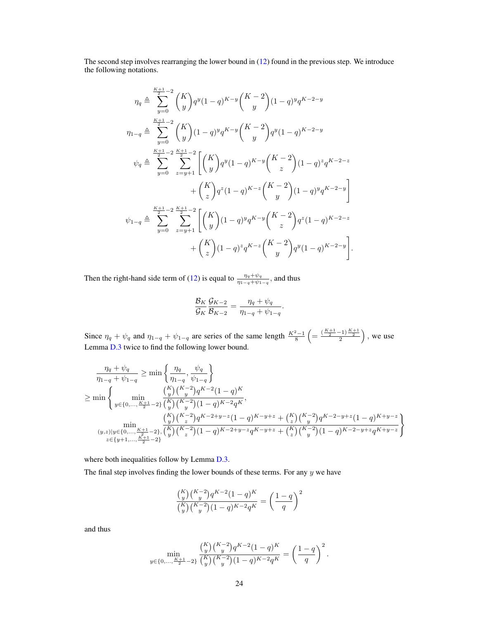The second step involves rearranging the lower bound in [\(12\)](#page-22-0) found in the previous step. We introduce the following notations.

$$
\eta_{q} \triangleq \sum_{y=0}^{\frac{K+1}{2}-2} \binom{K}{y} q^{y} (1-q)^{K-y} \binom{K-2}{y} (1-q)^{y} q^{K-2-y}
$$
\n
$$
\eta_{1-q} \triangleq \sum_{y=0}^{\frac{K+1}{2}-2} \binom{K}{y} (1-q)^{y} q^{K-y} \binom{K-2}{y} q^{y} (1-q)^{K-2-y}
$$
\n
$$
\psi_{q} \triangleq \sum_{y=0}^{\frac{K+1}{2}-2} \sum_{z=y+1}^{\frac{K+1}{2}-2} \left[ \binom{K}{y} q^{y} (1-q)^{K-y} \binom{K-2}{z} (1-q)^{z} q^{K-2-z} + \binom{K}{z} q^{z} (1-q)^{K-z} \binom{K-2}{y} (1-q)^{y} q^{K-2-y} \right]
$$
\n
$$
\psi_{1-q} \triangleq \sum_{y=0}^{\frac{K+1}{2}-2} \sum_{z=y+1}^{\frac{K+1}{2}-2} \left[ \binom{K}{y} (1-q)^{y} q^{K-y} \binom{K-2}{z} q^{z} (1-q)^{K-2-z} + \binom{K}{z} (1-q)^{z} q^{K-z} \binom{K-2}{y} q^{y} (1-q)^{K-2-y} \right].
$$

Then the right-hand side term of [\(12\)](#page-22-0) is equal to  $\frac{\eta_q + \psi_q}{\eta_{1-q} + \psi_{1-q}}$ , and thus

$$
\frac{\mathcal{B}_K}{\mathcal{G}_K} \frac{\mathcal{G}_{K-2}}{\mathcal{B}_{K-2}} = \frac{\eta_q + \psi_q}{\eta_{1-q} + \psi_{1-q}}.
$$

Since  $\eta_q + \psi_q$  and  $\eta_{1-q} + \psi_{1-q}$  are series of the same length  $\frac{K^2-1}{8} \left( = \frac{(\frac{K+1}{2}-1)\frac{K+1}{2}}{2} \right)$ , we use Lemma [D.3](#page-25-1) twice to find the following lower bound.

$$
\frac{\eta_{q} + \psi_{q}}{\eta_{1-q} + \psi_{1-q}} \geq \min\left\{\frac{\eta_{q}}{\eta_{1-q}}, \frac{\psi_{q}}{\psi_{1-q}}\right\}
$$
\n
$$
\geq \min\left\{\min_{y \in \{0, \ldots, \frac{K+1}{2} - 2\}} \frac{\left(\frac{K}{y}\right)\left(\frac{K-2}{y}\right)q^{K-2}(1-q)^K}{\left(\frac{K}{y}\right)\left(\frac{K-2}{y}\right)(1-q)^{K-2}q^K}, \frac{\left(\frac{K}{y}\right)\left(\frac{K-2}{y}\right)q^{K-2+y-z}(1-q)^{K-y+z} + \left(\frac{K}{z}\right)\left(\frac{K-2}{y}\right)q^{K-2-y+z}(1-q)^{K+y-z}}{\left(\frac{K}{y}\right)\left(\frac{K-2}{z}\right)\left(\frac{K-2}{y}\right)(1-q)^{K-2+y-z}q^{K-y+z} + \left(\frac{K}{z}\right)\left(\frac{K-2}{y}\right)(1-q)^{K-2-y+z}q^{K+y-z}}\right\}
$$

where both inequalities follow by Lemma [D.3.](#page-25-1)

The final step involves finding the lower bounds of these terms. For any  $y$  we have

$$
\frac{\binom{K}{y}\binom{K-2}{y}q^{K-2}(1-q)^K}{\binom{K}{y}\binom{K-2}{y}(1-q)^{K-2}q^K} = \left(\frac{1-q}{q}\right)^2
$$

and thus

$$
\min_{y \in \{0, \dots, \frac{K+1}{2} - 2\}} \frac{{K \choose y} {K-2 \choose y} q^{K-2} (1-q)^K}{{K \choose y} {K-2 \choose y} (1-q)^{K-2} q^K} = \left(\frac{1-q}{q}\right)^2.
$$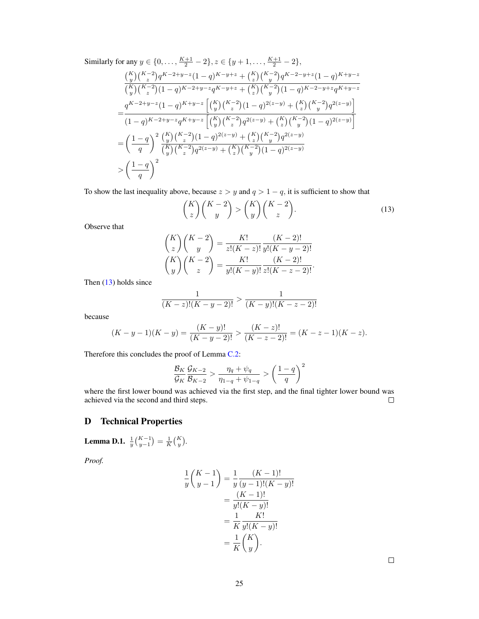Similarly for any  $y \in \{0, \ldots, \frac{K+1}{2} - 2\}, z \in \{y+1, \ldots, \frac{K+1}{2} - 2\},\$ 

$$
\frac{{K \choose y} {K-2 \choose z} q^{K-2+y-z} (1-q)^{K-y+z} + {K \choose z} {K-2 \choose y} q^{K-2-y+z} (1-q)^{K+y-z} }{{K \choose y} {K-2 \choose z} (1-q)^{K-2+y-z} q^{K-y+z} + {K \choose z} {K-2 \choose y} (1-q)^{K-2-y+z} q^{K+y-z} } \\ = \frac{q^{K-2+y-z} (1-q)^{K+y-z} \left[ {K \choose y} {K-2 \choose z} (1-q)^{2(z-y)} + {K \choose z} {K-2 \choose y} q^{2(z-y)} \right]}{(1-q)^{K-2+y-z} q^{K+y-z} \left[ {K \choose y} {K-2 \choose z} q^{2(z-y)} + {K \choose z} {K-2 \choose y} (1-q)^{2(z-y)} \right]} \\ = \left(\frac{1-q}{q}\right)^2 \frac{{K \choose y} {K-2 \choose z} (1-q)^{2(z-y)} + {K \choose z} {K-2 \choose y} q^{2(z-y)}}{{K \choose y} {K-2 \choose z} q^{2(z-y)} + {K \choose z} {K-2 \choose y} (1-q)^{2(z-y)}} \\ > \left(\frac{1-q}{q}\right)^2
$$

To show the last inequality above, because  $z > y$  and  $q > 1 - q$ , it is sufficient to show that

<span id="page-24-2"></span>
$$
\binom{K}{z}\binom{K-2}{y} > \binom{K}{y}\binom{K-2}{z}.\tag{13}
$$

Observe that

$$
\binom{K}{z} \binom{K-2}{y} = \frac{K!}{z!(K-z)!} \frac{(K-2)!}{y!(K-y-2)!}
$$

$$
\binom{K}{y} \binom{K-2}{z} = \frac{K!}{y!(K-y)!} \frac{(K-2)!}{z!(K-z-2)!}.
$$

Then [\(13\)](#page-24-2) holds since

$$
\frac{1}{(K-z)!(K-y-2)!} > \frac{1}{(K-y)!(K-z-2)!}
$$

because

$$
(K - y - 1)(K - y) = \frac{(K - y)!}{(K - y - 2)!} > \frac{(K - z)!}{(K - z - 2)!} = (K - z - 1)(K - z).
$$

Therefore this concludes the proof of Lemma [C.2:](#page-18-0)

$$
\frac{\mathcal{B}_K}{\mathcal{G}_K} \frac{\mathcal{G}_{K-2}}{\mathcal{B}_{K-2}} > \frac{\eta_q + \psi_q}{\eta_{1-q} + \psi_{1-q}} > \left(\frac{1-q}{q}\right)^2
$$

where the first lower bound was achieved via the first step, and the final tighter lower bound was achieved via the second and third steps. achieved via the second and third steps.

# <span id="page-24-0"></span>D Technical Properties

<span id="page-24-1"></span>**Lemma D.1.**  $\frac{1}{y} {K-1 \choose y-1} = \frac{1}{K} {K \choose y}.$ 

*Proof.*

$$
\frac{1}{y} \binom{K-1}{y-1} = \frac{1}{y} \frac{(K-1)!}{(y-1)!(K-y)!}
$$

$$
= \frac{(K-1)!}{y!(K-y)!}
$$

$$
= \frac{1}{K} \frac{K!}{y!(K-y)!}
$$

$$
= \frac{1}{K} \binom{K}{y}.
$$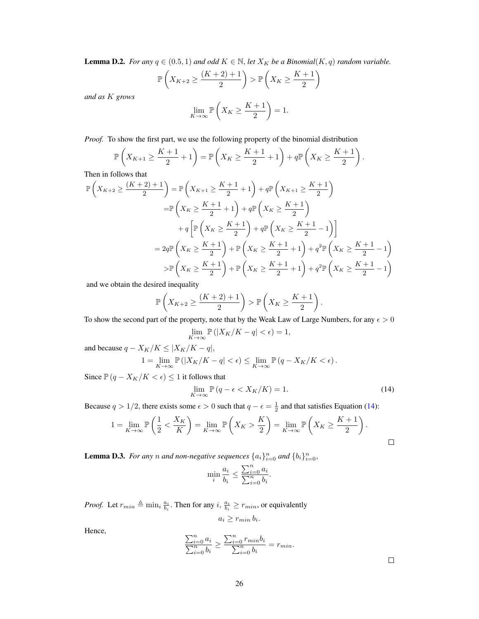<span id="page-25-0"></span>**Lemma D.2.** *For any*  $q \in (0.5, 1)$  *and odd*  $K \in \mathbb{N}$ , *let*  $X_K$  *be a Binomial*( $K, q$ ) *random variable.* 

$$
\mathbb{P}\left(X_{K+2} \ge \frac{(K+2)+1}{2}\right) > \mathbb{P}\left(X_K \ge \frac{K+1}{2}\right)
$$

*and as* K *grows*

$$
\lim_{K \to \infty} \mathbb{P}\left(X_K \ge \frac{K+1}{2}\right) = 1.
$$

*Proof.* To show the first part, we use the following property of the binomial distribution

$$
\mathbb{P}\left(X_{K+1} \ge \frac{K+1}{2} + 1\right) = \mathbb{P}\left(X_K \ge \frac{K+1}{2} + 1\right) + q \mathbb{P}\left(X_K \ge \frac{K+1}{2}\right).
$$

Then in follows that

$$
\mathbb{P}\left(X_{K+2} \ge \frac{(K+2)+1}{2}\right) = \mathbb{P}\left(X_{K+1} \ge \frac{K+1}{2} + 1\right) + q\mathbb{P}\left(X_{K+1} \ge \frac{K+1}{2}\right)
$$

$$
= \mathbb{P}\left(X_K \ge \frac{K+1}{2} + 1\right) + q\mathbb{P}\left(X_K \ge \frac{K+1}{2}\right)
$$

$$
+ q\left[\mathbb{P}\left(X_K \ge \frac{K+1}{2}\right) + q\mathbb{P}\left(X_K \ge \frac{K+1}{2} - 1\right)\right]
$$

$$
= 2q\mathbb{P}\left(X_K \ge \frac{K+1}{2}\right) + \mathbb{P}\left(X_K \ge \frac{K+1}{2} + 1\right) + q^2\mathbb{P}\left(X_K \ge \frac{K+1}{2} - 1\right)
$$

$$
> \mathbb{P}\left(X_K \ge \frac{K+1}{2}\right) + \mathbb{P}\left(X_K \ge \frac{K+1}{2} + 1\right) + q^2\mathbb{P}\left(X_K \ge \frac{K+1}{2} - 1\right)
$$

and we obtain the desired inequality

$$
\mathbb{P}\left(X_{K+2} \ge \frac{(K+2)+1}{2}\right) > \mathbb{P}\left(X_K \ge \frac{K+1}{2}\right).
$$

To show the second part of the property, note that by the Weak Law of Large Numbers, for any  $\epsilon > 0$ 

$$
\lim_{K \to \infty} \mathbb{P}\left( |X_K/K - q| < \epsilon \right) = 1,
$$

and because  $q - X_K/K \leq |X_K/K - q|$ ,

$$
1 = \lim_{K \to \infty} \mathbb{P}(|X_K/K - q| < \epsilon) \le \lim_{K \to \infty} \mathbb{P}(q - X_K/K < \epsilon).
$$

Since  $\mathbb{P}(q - X_K/K < \epsilon) \leq 1$  it follows that

<span id="page-25-2"></span>
$$
\lim_{K \to \infty} \mathbb{P}\left(q - \epsilon < X_K/K\right) = 1. \tag{14}
$$

Because  $q > 1/2$ , there exists some  $\epsilon > 0$  such that  $q - \epsilon = \frac{1}{2}$  and that satisfies Equation [\(14\)](#page-25-2):

$$
1 = \lim_{K \to \infty} \mathbb{P}\left(\frac{1}{2} < \frac{X_K}{K}\right) = \lim_{K \to \infty} \mathbb{P}\left(X_K > \frac{K}{2}\right) = \lim_{K \to \infty} \mathbb{P}\left(X_K \geq \frac{K+1}{2}\right).
$$

<span id="page-25-1"></span>**Lemma D.3.** For any n and non-negative sequences  $\{a_i\}_{i=0}^n$  and  $\{b_i\}_{i=0}^n$ ,

$$
\min_i \frac{a_i}{b_i} \le \frac{\sum_{i=0}^n a_i}{\sum_{i=0}^n b_i}.
$$

*Proof.* Let  $r_{min} \triangleq \min_i \frac{a_i}{b_i}$ . Then for any  $i, \frac{a_i}{b_i} \geq r_{min}$ , or equivalently

$$
a_i \geq r_{min} b_i.
$$

Hence,

$$
\frac{\sum_{i=0}^{n} a_i}{\sum_{i=0}^{n} b_i} \ge \frac{\sum_{i=0}^{n} r_{min} b_i}{\sum_{i=0}^{n} b_i} = r_{min}.
$$